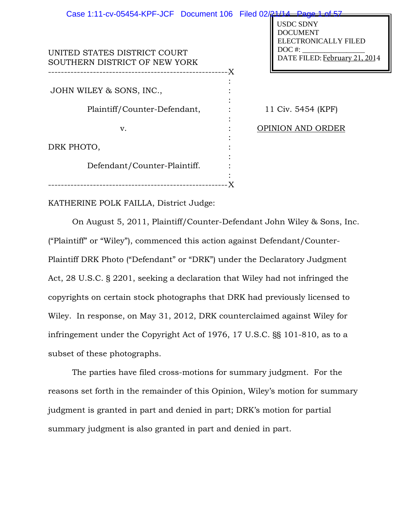| Case 1:11-cv-05454-KPF-JCF Document 106 Filed 02/21/14 Page 1 of 5 |     |                                                                                                          |  |
|--------------------------------------------------------------------|-----|----------------------------------------------------------------------------------------------------------|--|
| UNITED STATES DISTRICT COURT<br>SOUTHERN DISTRICT OF NEW YORK      | -X. | <b>USDC SDNY</b><br><b>DOCUMENT</b><br>ELECTRONICALLY FILED<br>$DOC$ #:<br>DATE FILED: February 21, 2014 |  |
|                                                                    |     |                                                                                                          |  |
| JOHN WILEY & SONS, INC.,                                           |     |                                                                                                          |  |
| Plaintiff/Counter-Defendant,                                       |     | 11 Civ. 5454 (KPF)                                                                                       |  |
| v.                                                                 |     | <b>OPINION AND ORDER</b>                                                                                 |  |
|                                                                    |     |                                                                                                          |  |
| DRK PHOTO,                                                         |     |                                                                                                          |  |
|                                                                    |     |                                                                                                          |  |
| Defendant/Counter-Plaintiff.                                       |     |                                                                                                          |  |
|                                                                    |     |                                                                                                          |  |

KATHERINE POLK FAILLA, District Judge:

-------------------------------------------------------- X

On August 5, 2011, Plaintiff/Counter-Defendant John Wiley & Sons, Inc. ("Plaintiff" or "Wiley"), commenced this action against Defendant/Counter-Plaintiff DRK Photo ("Defendant" or "DRK") under the Declaratory Judgment Act, 28 U.S.C. § 2201, seeking a declaration that Wiley had not infringed the copyrights on certain stock photographs that DRK had previously licensed to Wiley. In response, on May 31, 2012, DRK counterclaimed against Wiley for infringement under the Copyright Act of 1976, 17 U.S.C. §§ 101-810, as to a subset of these photographs.

The parties have filed cross-motions for summary judgment. For the reasons set forth in the remainder of this Opinion, Wiley's motion for summary judgment is granted in part and denied in part; DRK's motion for partial summary judgment is also granted in part and denied in part.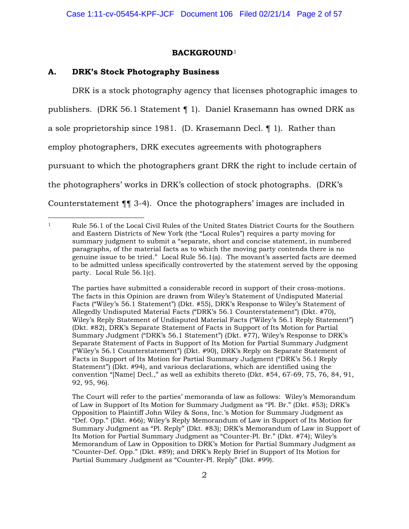## **BACKGROUND**<sup>1</sup>

## **A. DRK's Stock Photography Business**

 $\overline{a}$ 

DRK is a stock photography agency that licenses photographic images to publishers. (DRK 56.1 Statement ¶ 1). Daniel Krasemann has owned DRK as a sole proprietorship since 1981. (D. Krasemann Decl. ¶ 1). Rather than employ photographers, DRK executes agreements with photographers pursuant to which the photographers grant DRK the right to include certain of the photographers' works in DRK's collection of stock photographs. (DRK's Counterstatement ¶¶ 3-4). Once the photographers' images are included in

The parties have submitted a considerable record in support of their cross-motions. The facts in this Opinion are drawn from Wiley's Statement of Undisputed Material Facts ("Wiley's 56.1 Statement") (Dkt. #55), DRK's Response to Wiley's Statement of Allegedly Undisputed Material Facts ("DRK's 56.1 Counterstatement") (Dkt. #70), Wiley's Reply Statement of Undisputed Material Facts ("Wiley's 56.1 Reply Statement") (Dkt. #82), DRK's Separate Statement of Facts in Support of Its Motion for Partial Summary Judgment ("DRK's 56.1 Statement") (Dkt. #77), Wiley's Response to DRK's Separate Statement of Facts in Support of Its Motion for Partial Summary Judgment ("Wiley's 56.1 Counterstatement") (Dkt. #90), DRK's Reply on Separate Statement of Facts in Support of Its Motion for Partial Summary Judgment ("DRK's 56.1 Reply Statement") (Dkt. #94), and various declarations, which are identified using the convention "[Name] Decl.," as well as exhibits thereto (Dkt. #54, 67-69, 75, 76, 84, 91, 92, 95, 96).

The Court will refer to the parties' memoranda of law as follows: Wiley's Memorandum of Law in Support of Its Motion for Summary Judgment as "Pl. Br." (Dkt. #53); DRK's Opposition to Plaintiff John Wiley & Sons, Inc.'s Motion for Summary Judgment as "Def. Opp." (Dkt. #66); Wiley's Reply Memorandum of Law in Support of Its Motion for Summary Judgment as "Pl. Reply" (Dkt. #83); DRK's Memorandum of Law in Support of Its Motion for Partial Summary Judgment as "Counter-Pl. Br." (Dkt. #74); Wiley's Memorandum of Law in Opposition to DRK's Motion for Partial Summary Judgment as "Counter-Def. Opp." (Dkt. #89); and DRK's Reply Brief in Support of Its Motion for Partial Summary Judgment as "Counter-Pl. Reply" (Dkt. #99).

<sup>1</sup> Rule 56.1 of the Local Civil Rules of the United States District Courts for the Southern and Eastern Districts of New York (the "Local Rules") requires a party moving for summary judgment to submit a "separate, short and concise statement, in numbered paragraphs, of the material facts as to which the moving party contends there is no genuine issue to be tried." Local Rule 56.1(a). The movant's asserted facts are deemed to be admitted unless specifically controverted by the statement served by the opposing party. Local Rule 56.1(c).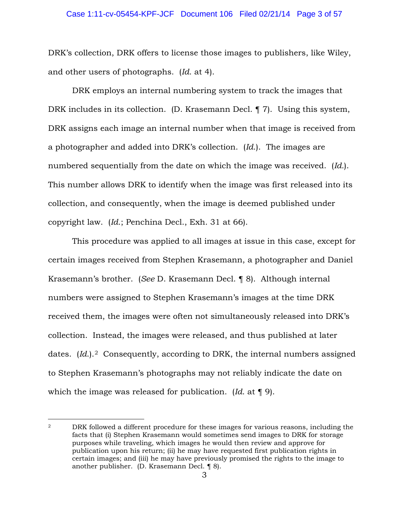# Case 1:11-cv-05454-KPF-JCF Document 106 Filed 02/21/14 Page 3 of 57

DRK's collection, DRK offers to license those images to publishers, like Wiley, and other users of photographs. (*Id*. at 4).

 DRK employs an internal numbering system to track the images that DRK includes in its collection. (D. Krasemann Decl. ¶ 7). Using this system, DRK assigns each image an internal number when that image is received from a photographer and added into DRK's collection. (*Id*.). The images are numbered sequentially from the date on which the image was received. (*Id.*). This number allows DRK to identify when the image was first released into its collection, and consequently, when the image is deemed published under copyright law. (*Id*.; Penchina Decl., Exh. 31 at 66).

This procedure was applied to all images at issue in this case, except for certain images received from Stephen Krasemann, a photographer and Daniel Krasemann's brother. (*See* D. Krasemann Decl. ¶ 8). Although internal numbers were assigned to Stephen Krasemann's images at the time DRK received them, the images were often not simultaneously released into DRK's collection. Instead, the images were released, and thus published at later dates. (*Id.*).<sup>2</sup> Consequently, according to DRK, the internal numbers assigned to Stephen Krasemann's photographs may not reliably indicate the date on which the image was released for publication. (*Id*. at ¶ 9).

 $\overline{a}$ 

<sup>2</sup> DRK followed a different procedure for these images for various reasons, including the facts that (i) Stephen Krasemann would sometimes send images to DRK for storage purposes while traveling, which images he would then review and approve for publication upon his return; (ii) he may have requested first publication rights in certain images; and (iii) he may have previously promised the rights to the image to another publisher. (D. Krasemann Decl. ¶ 8).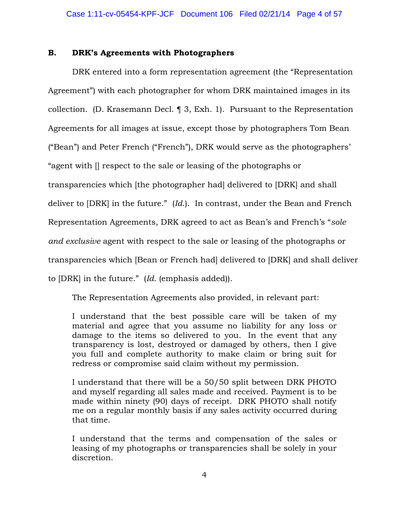## **B. DRK's Agreements with Photographers**

DRK entered into a form representation agreement (the "Representation Agreement") with each photographer for whom DRK maintained images in its collection. (D. Krasemann Decl. ¶ 3, Exh. 1). Pursuant to the Representation Agreements for all images at issue, except those by photographers Tom Bean ("Bean") and Peter French ("French"), DRK would serve as the photographers' "agent with [] respect to the sale or leasing of the photographs or transparencies which [the photographer had] delivered to [DRK] and shall deliver to [DRK] in the future." (*Id*.). In contrast, under the Bean and French Representation Agreements, DRK agreed to act as Bean's and French's "*sole and exclusive* agent with respect to the sale or leasing of the photographs or transparencies which [Bean or French had] delivered to [DRK] and shall deliver to [DRK] in the future." (*Id*. (emphasis added)).

The Representation Agreements also provided, in relevant part:

I understand that the best possible care will be taken of my material and agree that you assume no liability for any loss or damage to the items so delivered to you. In the event that any transparency is lost, destroyed or damaged by others, then I give you full and complete authority to make claim or bring suit for redress or compromise said claim without my permission.

I understand that there will be a 50/50 split between DRK PHOTO and myself regarding all sales made and received. Payment is to be made within ninety (90) days of receipt. DRK PHOTO shall notify me on a regular monthly basis if any sales activity occurred during that time.

I understand that the terms and compensation of the sales or leasing of my photographs or transparencies shall be solely in your discretion.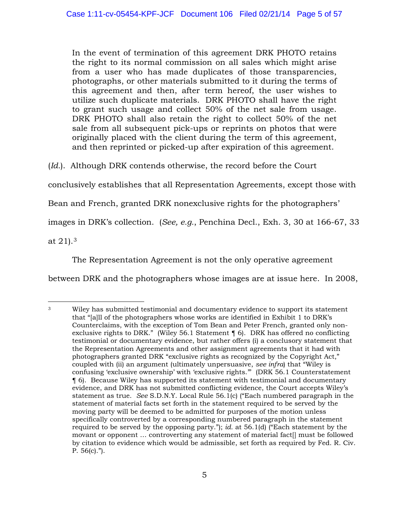In the event of termination of this agreement DRK PHOTO retains the right to its normal commission on all sales which might arise from a user who has made duplicates of those transparencies, photographs, or other materials submitted to it during the terms of this agreement and then, after term hereof, the user wishes to utilize such duplicate materials. DRK PHOTO shall have the right to grant such usage and collect 50% of the net sale from usage. DRK PHOTO shall also retain the right to collect 50% of the net sale from all subsequent pick-ups or reprints on photos that were originally placed with the client during the term of this agreement, and then reprinted or picked-up after expiration of this agreement.

(*Id.*). Although DRK contends otherwise, the record before the Court

conclusively establishes that all Representation Agreements, except those with

Bean and French, granted DRK nonexclusive rights for the photographers'

images in DRK's collection. (*See, e.g.*, Penchina Decl., Exh. 3, 30 at 166-67, 33

at 21).3

The Representation Agreement is not the only operative agreement

between DRK and the photographers whose images are at issue here. In 2008,

<sup>3</sup> Wiley has submitted testimonial and documentary evidence to support its statement that "[a]ll of the photographers whose works are identified in Exhibit 1 to DRK's Counterclaims, with the exception of Tom Bean and Peter French, granted only nonexclusive rights to DRK." (Wiley 56.1 Statement ¶ 6). DRK has offered no conflicting testimonial or documentary evidence, but rather offers (i) a conclusory statement that the Representation Agreements and other assignment agreements that it had with photographers granted DRK "exclusive rights as recognized by the Copyright Act," coupled with (ii) an argument (ultimately unpersuasive, *see infra*) that "Wiley is confusing 'exclusive ownership' with 'exclusive rights.'" (DRK 56.1 Counterstatement ¶ 6). Because Wiley has supported its statement with testimonial and documentary evidence, and DRK has not submitted conflicting evidence, the Court accepts Wiley's statement as true. *See* S.D.N.Y. Local Rule 56.1(c) ("Each numbered paragraph in the statement of material facts set forth in the statement required to be served by the moving party will be deemed to be admitted for purposes of the motion unless specifically controverted by a corresponding numbered paragraph in the statement required to be served by the opposing party."); *id.* at 56.1(d) ("Each statement by the movant or opponent … controverting any statement of material fact[] must be followed by citation to evidence which would be admissible, set forth as required by Fed. R. Civ. P.  $56(c).$ ").  $\overline{a}$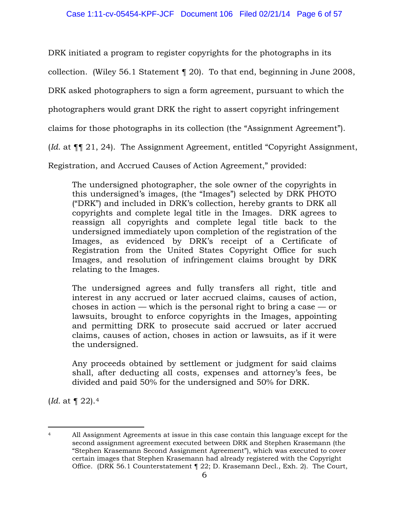DRK initiated a program to register copyrights for the photographs in its

collection. (Wiley 56.1 Statement ¶ 20). To that end, beginning in June 2008,

DRK asked photographers to sign a form agreement, pursuant to which the

photographers would grant DRK the right to assert copyright infringement

claims for those photographs in its collection (the "Assignment Agreement").

(*Id*. at ¶¶ 21, 24). The Assignment Agreement, entitled "Copyright Assignment,

Registration, and Accrued Causes of Action Agreement," provided:

The undersigned photographer, the sole owner of the copyrights in this undersigned's images, (the "Images") selected by DRK PHOTO ("DRK") and included in DRK's collection, hereby grants to DRK all copyrights and complete legal title in the Images. DRK agrees to reassign all copyrights and complete legal title back to the undersigned immediately upon completion of the registration of the Images, as evidenced by DRK's receipt of a Certificate of Registration from the United States Copyright Office for such Images, and resolution of infringement claims brought by DRK relating to the Images.

The undersigned agrees and fully transfers all right, title and interest in any accrued or later accrued claims, causes of action, choses in action — which is the personal right to bring a case — or lawsuits, brought to enforce copyrights in the Images, appointing and permitting DRK to prosecute said accrued or later accrued claims, causes of action, choses in action or lawsuits, as if it were the undersigned.

Any proceeds obtained by settlement or judgment for said claims shall, after deducting all costs, expenses and attorney's fees, be divided and paid 50% for the undersigned and 50% for DRK.

(*Id.* at ¶ 22).4

<sup>&</sup>lt;sup>4</sup> All Assignment Agreements at issue in this case contain this language except for the second assignment agreement executed between DRK and Stephen Krasemann (the "Stephen Krasemann Second Assignment Agreement"), which was executed to cover certain images that Stephen Krasemann had already registered with the Copyright Office. (DRK 56.1 Counterstatement ¶ 22; D. Krasemann Decl., Exh. 2). The Court,  $\overline{a}$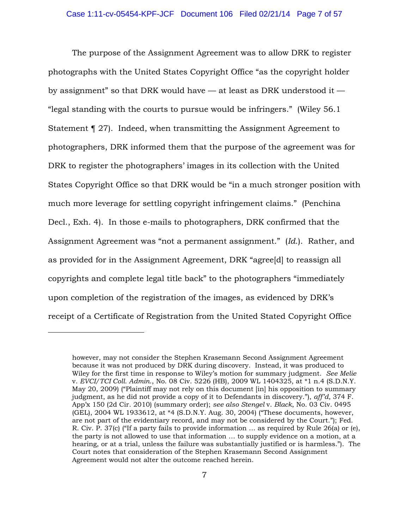The purpose of the Assignment Agreement was to allow DRK to register photographs with the United States Copyright Office "as the copyright holder by assignment" so that DRK would have — at least as DRK understood it — "legal standing with the courts to pursue would be infringers." (Wiley 56.1 Statement ¶ 27). Indeed, when transmitting the Assignment Agreement to photographers, DRK informed them that the purpose of the agreement was for DRK to register the photographers' images in its collection with the United States Copyright Office so that DRK would be "in a much stronger position with much more leverage for settling copyright infringement claims." (Penchina Decl., Exh. 4). In those e-mails to photographers, DRK confirmed that the Assignment Agreement was "not a permanent assignment." (*Id*.). Rather, and as provided for in the Assignment Agreement, DRK "agree[d] to reassign all copyrights and complete legal title back" to the photographers "immediately upon completion of the registration of the images, as evidenced by DRK's receipt of a Certificate of Registration from the United Stated Copyright Office

 $\overline{a}$ 

however, may not consider the Stephen Krasemann Second Assignment Agreement because it was not produced by DRK during discovery. Instead, it was produced to Wiley for the first time in response to Wiley's motion for summary judgment. *See Melie*  v. *EVCI/TCI Coll. Admin*., No. 08 Civ. 5226 (HB), 2009 WL 1404325, at \*1 n.4 (S.D.N.Y. May 20, 2009) ("Plaintiff may not rely on this document [in] his opposition to summary judgment, as he did not provide a copy of it to Defendants in discovery."), *aff'd*, 374 F. App'x 150 (2d Cir. 2010) (summary order); *see also Stengel* v. *Black*, No. 03 Civ. 0495 (GEL), 2004 WL 1933612, at \*4 (S.D.N.Y. Aug. 30, 2004) ("These documents, however, are not part of the evidentiary record, and may not be considered by the Court."); Fed. R. Civ. P. 37(c) ("If a party fails to provide information … as required by Rule 26(a) or (e), the party is not allowed to use that information … to supply evidence on a motion, at a hearing, or at a trial, unless the failure was substantially justified or is harmless."). The Court notes that consideration of the Stephen Krasemann Second Assignment Agreement would not alter the outcome reached herein.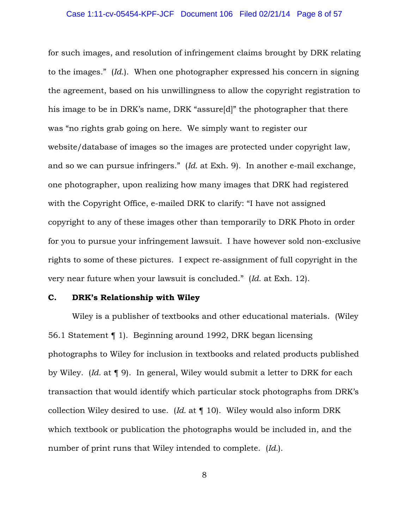for such images, and resolution of infringement claims brought by DRK relating to the images." (*Id*.). When one photographer expressed his concern in signing the agreement, based on his unwillingness to allow the copyright registration to his image to be in DRK's name, DRK "assure[d]" the photographer that there was "no rights grab going on here. We simply want to register our website/database of images so the images are protected under copyright law, and so we can pursue infringers." (*Id.* at Exh. 9). In another e-mail exchange, one photographer, upon realizing how many images that DRK had registered with the Copyright Office, e-mailed DRK to clarify: "I have not assigned copyright to any of these images other than temporarily to DRK Photo in order for you to pursue your infringement lawsuit. I have however sold non-exclusive rights to some of these pictures. I expect re-assignment of full copyright in the very near future when your lawsuit is concluded." (*Id*. at Exh. 12).

## **C. DRK's Relationship with Wiley**

Wiley is a publisher of textbooks and other educational materials. (Wiley 56.1 Statement ¶ 1). Beginning around 1992, DRK began licensing photographs to Wiley for inclusion in textbooks and related products published by Wiley. (*Id.* at ¶ 9). In general, Wiley would submit a letter to DRK for each transaction that would identify which particular stock photographs from DRK's collection Wiley desired to use. (*Id.* at ¶ 10). Wiley would also inform DRK which textbook or publication the photographs would be included in, and the number of print runs that Wiley intended to complete. (*Id.*).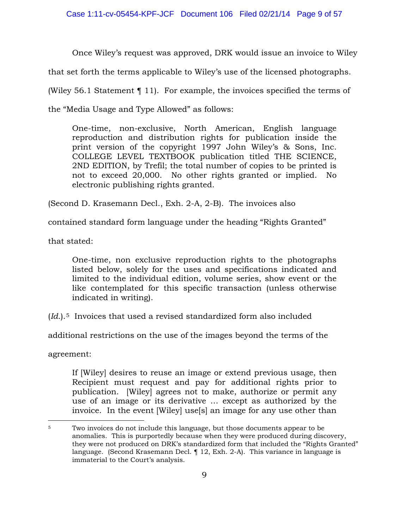Once Wiley's request was approved, DRK would issue an invoice to Wiley

that set forth the terms applicable to Wiley's use of the licensed photographs.

(Wiley 56.1 Statement ¶ 11). For example, the invoices specified the terms of

the "Media Usage and Type Allowed" as follows:

One-time, non-exclusive, North American, English language reproduction and distribution rights for publication inside the print version of the copyright 1997 John Wiley's & Sons, Inc. COLLEGE LEVEL TEXTBOOK publication titled THE SCIENCE, 2ND EDITION, by Trefil; the total number of copies to be printed is not to exceed 20,000. No other rights granted or implied. No electronic publishing rights granted.

(Second D. Krasemann Decl., Exh. 2-A, 2-B). The invoices also

contained standard form language under the heading "Rights Granted"

that stated:

One-time, non exclusive reproduction rights to the photographs listed below, solely for the uses and specifications indicated and limited to the individual edition, volume series, show event or the like contemplated for this specific transaction (unless otherwise indicated in writing).

(*Id*.).5 Invoices that used a revised standardized form also included

additional restrictions on the use of the images beyond the terms of the

agreement:

 $\overline{a}$ 

If [Wiley] desires to reuse an image or extend previous usage, then Recipient must request and pay for additional rights prior to publication. [Wiley] agrees not to make, authorize or permit any use of an image or its derivative … except as authorized by the invoice. In the event [Wiley] use[s] an image for any use other than

<sup>5</sup> Two invoices do not include this language, but those documents appear to be anomalies. This is purportedly because when they were produced during discovery, they were not produced on DRK's standardized form that included the "Rights Granted" language. (Second Krasemann Decl. ¶ 12, Exh. 2-A). This variance in language is immaterial to the Court's analysis.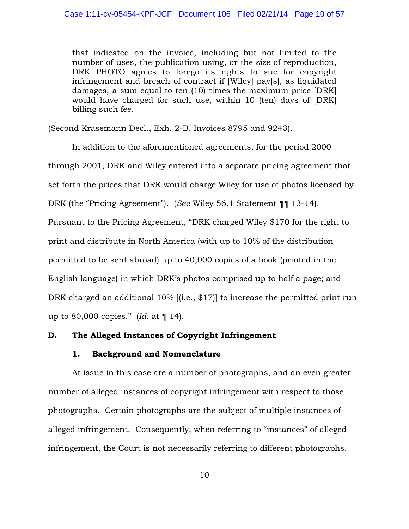that indicated on the invoice, including but not limited to the number of uses, the publication using, or the size of reproduction, DRK PHOTO agrees to forego its rights to sue for copyright infringement and breach of contract if [Wiley] pay[s], as liquidated damages, a sum equal to ten (10) times the maximum price [DRK] would have charged for such use, within 10 (ten) days of [DRK] billing such fee.

(Second Krasemann Decl., Exh. 2-B, Invoices 8795 and 9243).

In addition to the aforementioned agreements, for the period 2000 through 2001, DRK and Wiley entered into a separate pricing agreement that set forth the prices that DRK would charge Wiley for use of photos licensed by DRK (the "Pricing Agreement"). (*See* Wiley 56.1 Statement ¶¶ 13-14). Pursuant to the Pricing Agreement, "DRK charged Wiley \$170 for the right to print and distribute in North America (with up to 10% of the distribution permitted to be sent abroad) up to 40,000 copies of a book (printed in the English language) in which DRK's photos comprised up to half a page; and DRK charged an additional 10% [(i.e., \$17)] to increase the permitted print run up to 80,000 copies." (*Id*. at ¶ 14).

## **D. The Alleged Instances of Copyright Infringement**

### **1. Background and Nomenclature**

At issue in this case are a number of photographs, and an even greater number of alleged instances of copyright infringement with respect to those photographs. Certain photographs are the subject of multiple instances of alleged infringement. Consequently, when referring to "instances" of alleged infringement, the Court is not necessarily referring to different photographs.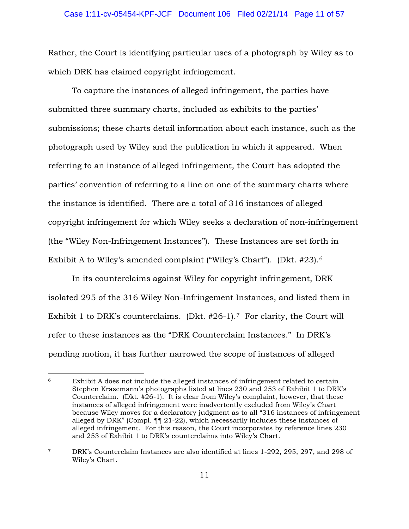Rather, the Court is identifying particular uses of a photograph by Wiley as to which DRK has claimed copyright infringement.

To capture the instances of alleged infringement, the parties have submitted three summary charts, included as exhibits to the parties' submissions; these charts detail information about each instance, such as the photograph used by Wiley and the publication in which it appeared. When referring to an instance of alleged infringement, the Court has adopted the parties' convention of referring to a line on one of the summary charts where the instance is identified. There are a total of 316 instances of alleged copyright infringement for which Wiley seeks a declaration of non-infringement (the "Wiley Non-Infringement Instances"). These Instances are set forth in Exhibit A to Wiley's amended complaint ("Wiley's Chart"). (Dkt. #23).6

 In its counterclaims against Wiley for copyright infringement, DRK isolated 295 of the 316 Wiley Non-Infringement Instances, and listed them in Exhibit 1 to DRK's counterclaims. (Dkt. #26-1).7 For clarity, the Court will refer to these instances as the "DRK Counterclaim Instances." In DRK's pending motion, it has further narrowed the scope of instances of alleged

<sup>6</sup> Exhibit A does not include the alleged instances of infringement related to certain Stephen Krasemann's photographs listed at lines 230 and 253 of Exhibit 1 to DRK's Counterclaim. (Dkt. #26-1). It is clear from Wiley's complaint, however, that these instances of alleged infringement were inadvertently excluded from Wiley's Chart because Wiley moves for a declaratory judgment as to all "316 instances of infringement alleged by DRK" (Compl. ¶¶ 21-22), which necessarily includes these instances of alleged infringement. For this reason, the Court incorporates by reference lines 230 and 253 of Exhibit 1 to DRK's counterclaims into Wiley's Chart.  $\overline{a}$ 

<sup>7</sup> DRK's Counterclaim Instances are also identified at lines 1-292, 295, 297, and 298 of Wiley's Chart.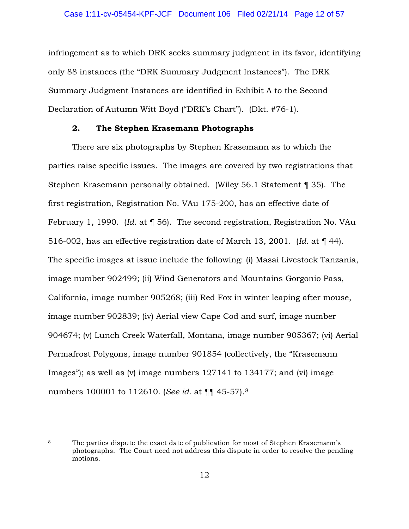infringement as to which DRK seeks summary judgment in its favor, identifying only 88 instances (the "DRK Summary Judgment Instances"). The DRK Summary Judgment Instances are identified in Exhibit A to the Second Declaration of Autumn Witt Boyd ("DRK's Chart"). (Dkt. #76-1).

### **2. The Stephen Krasemann Photographs**

There are six photographs by Stephen Krasemann as to which the parties raise specific issues. The images are covered by two registrations that Stephen Krasemann personally obtained. (Wiley 56.1 Statement ¶ 35). The first registration, Registration No. VAu 175-200, has an effective date of February 1, 1990. (*Id*. at ¶ 56). The second registration, Registration No. VAu 516-002, has an effective registration date of March 13, 2001. (*Id*. at ¶ 44). The specific images at issue include the following: (i) Masai Livestock Tanzania, image number 902499; (ii) Wind Generators and Mountains Gorgonio Pass, California, image number 905268; (iii) Red Fox in winter leaping after mouse, image number 902839; (iv) Aerial view Cape Cod and surf, image number 904674; (v) Lunch Creek Waterfall, Montana, image number 905367; (vi) Aerial Permafrost Polygons, image number 901854 (collectively, the "Krasemann Images"); as well as (v) image numbers 127141 to 134177; and (vi) image numbers 100001 to 112610. (*See id*. at ¶¶ 45-57).8

<sup>8</sup> The parties dispute the exact date of publication for most of Stephen Krasemann's photographs. The Court need not address this dispute in order to resolve the pending motions.  $\overline{a}$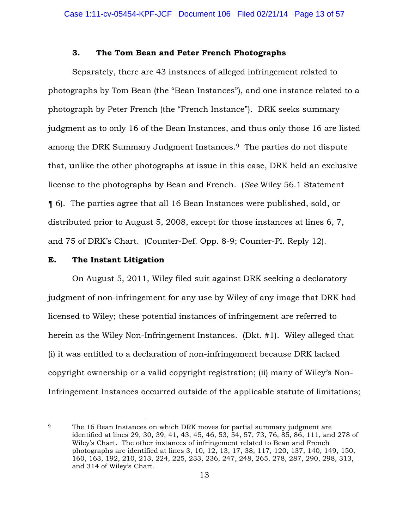## **3. The Tom Bean and Peter French Photographs**

 Separately, there are 43 instances of alleged infringement related to photographs by Tom Bean (the "Bean Instances"), and one instance related to a photograph by Peter French (the "French Instance"). DRK seeks summary judgment as to only 16 of the Bean Instances, and thus only those 16 are listed among the DRK Summary Judgment Instances.9 The parties do not dispute that, unlike the other photographs at issue in this case, DRK held an exclusive license to the photographs by Bean and French. (*See* Wiley 56.1 Statement ¶ 6). The parties agree that all 16 Bean Instances were published, sold, or distributed prior to August 5, 2008, except for those instances at lines 6, 7, and 75 of DRK's Chart. (Counter-Def. Opp. 8-9; Counter-Pl. Reply 12).

### **E. The Instant Litigation**

 On August 5, 2011, Wiley filed suit against DRK seeking a declaratory judgment of non-infringement for any use by Wiley of any image that DRK had licensed to Wiley; these potential instances of infringement are referred to herein as the Wiley Non-Infringement Instances. (Dkt. #1). Wiley alleged that (i) it was entitled to a declaration of non-infringement because DRK lacked copyright ownership or a valid copyright registration; (ii) many of Wiley's Non-Infringement Instances occurred outside of the applicable statute of limitations;

<sup>&</sup>lt;sup>9</sup> The 16 Bean Instances on which DRK moves for partial summary judgment are identified at lines 29, 30, 39, 41, 43, 45, 46, 53, 54, 57, 73, 76, 85, 86, 111, and 278 of Wiley's Chart. The other instances of infringement related to Bean and French photographs are identified at lines 3, 10, 12, 13, 17, 38, 117, 120, 137, 140, 149, 150, 160, 163, 192, 210, 213, 224, 225, 233, 236, 247, 248, 265, 278, 287, 290, 298, 313, and 314 of Wiley's Chart.  $\overline{a}$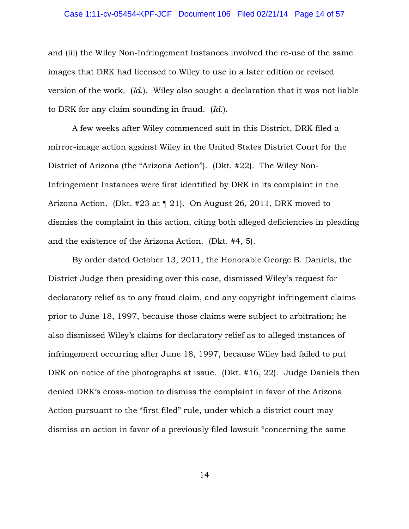### Case 1:11-cv-05454-KPF-JCF Document 106 Filed 02/21/14 Page 14 of 57

and (iii) the Wiley Non-Infringement Instances involved the re-use of the same images that DRK had licensed to Wiley to use in a later edition or revised version of the work. (*Id*.). Wiley also sought a declaration that it was not liable to DRK for any claim sounding in fraud. (*Id*.).

A few weeks after Wiley commenced suit in this District, DRK filed a mirror-image action against Wiley in the United States District Court for the District of Arizona (the "Arizona Action"). (Dkt. #22). The Wiley Non-Infringement Instances were first identified by DRK in its complaint in the Arizona Action. (Dkt. #23 at ¶ 21). On August 26, 2011, DRK moved to dismiss the complaint in this action, citing both alleged deficiencies in pleading and the existence of the Arizona Action. (Dkt. #4, 5).

By order dated October 13, 2011, the Honorable George B. Daniels, the District Judge then presiding over this case, dismissed Wiley's request for declaratory relief as to any fraud claim, and any copyright infringement claims prior to June 18, 1997, because those claims were subject to arbitration; he also dismissed Wiley's claims for declaratory relief as to alleged instances of infringement occurring after June 18, 1997, because Wiley had failed to put DRK on notice of the photographs at issue. (Dkt. #16, 22). Judge Daniels then denied DRK's cross-motion to dismiss the complaint in favor of the Arizona Action pursuant to the "first filed" rule, under which a district court may dismiss an action in favor of a previously filed lawsuit "concerning the same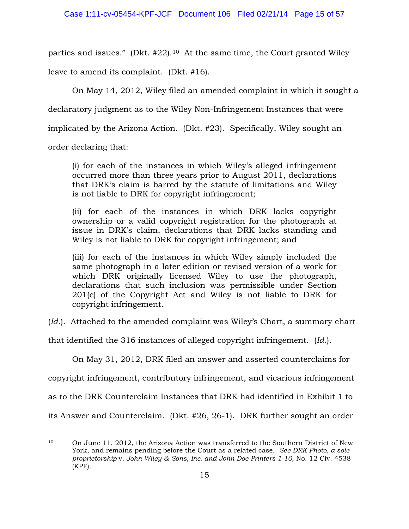parties and issues." (Dkt. #22).10 At the same time, the Court granted Wiley

leave to amend its complaint. (Dkt. #16).

On May 14, 2012, Wiley filed an amended complaint in which it sought a

declaratory judgment as to the Wiley Non-Infringement Instances that were

implicated by the Arizona Action. (Dkt. #23). Specifically, Wiley sought an

order declaring that:

(i) for each of the instances in which Wiley's alleged infringement occurred more than three years prior to August 2011, declarations that DRK's claim is barred by the statute of limitations and Wiley is not liable to DRK for copyright infringement;

(ii) for each of the instances in which DRK lacks copyright ownership or a valid copyright registration for the photograph at issue in DRK's claim, declarations that DRK lacks standing and Wiley is not liable to DRK for copyright infringement; and

(iii) for each of the instances in which Wiley simply included the same photograph in a later edition or revised version of a work for which DRK originally licensed Wiley to use the photograph, declarations that such inclusion was permissible under Section 201(c) of the Copyright Act and Wiley is not liable to DRK for copyright infringement.

(*Id*.). Attached to the amended complaint was Wiley's Chart, a summary chart

that identified the 316 instances of alleged copyright infringement. (*Id*.).

On May 31, 2012, DRK filed an answer and asserted counterclaims for

copyright infringement, contributory infringement, and vicarious infringement

as to the DRK Counterclaim Instances that DRK had identified in Exhibit 1 to

its Answer and Counterclaim. (Dkt. #26, 26-1). DRK further sought an order

<sup>10</sup> On June 11, 2012, the Arizona Action was transferred to the Southern District of New York, and remains pending before the Court as a related case. *See DRK Photo, a sole proprietorship* v. *John Wiley & Sons, Inc. and John Doe Printers 1-10*, No. 12 Civ. 4538 (KPF).  $\overline{a}$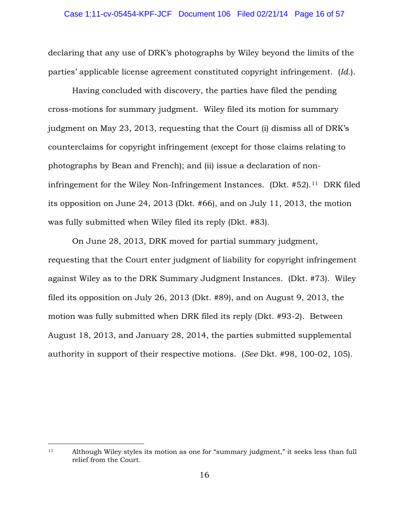declaring that any use of DRK's photographs by Wiley beyond the limits of the parties' applicable license agreement constituted copyright infringement. (*Id*.).

Having concluded with discovery, the parties have filed the pending cross-motions for summary judgment. Wiley filed its motion for summary judgment on May 23, 2013, requesting that the Court (i) dismiss all of DRK's counterclaims for copyright infringement (except for those claims relating to photographs by Bean and French); and (ii) issue a declaration of noninfringement for the Wiley Non-Infringement Instances. (Dkt.  $#52$ ).<sup>11</sup> DRK filed its opposition on June 24, 2013 (Dkt. #66), and on July 11, 2013, the motion was fully submitted when Wiley filed its reply (Dkt. #83).

On June 28, 2013, DRK moved for partial summary judgment, requesting that the Court enter judgment of liability for copyright infringement against Wiley as to the DRK Summary Judgment Instances. (Dkt. #73). Wiley filed its opposition on July 26, 2013 (Dkt. #89), and on August 9, 2013, the motion was fully submitted when DRK filed its reply (Dkt. #93-2). Between August 18, 2013, and January 28, 2014, the parties submitted supplemental authority in support of their respective motions. (*See* Dkt. #98, 100-02, 105).

<sup>11</sup> Although Wiley styles its motion as one for "summary judgment," it seeks less than full relief from the Court.  $\overline{a}$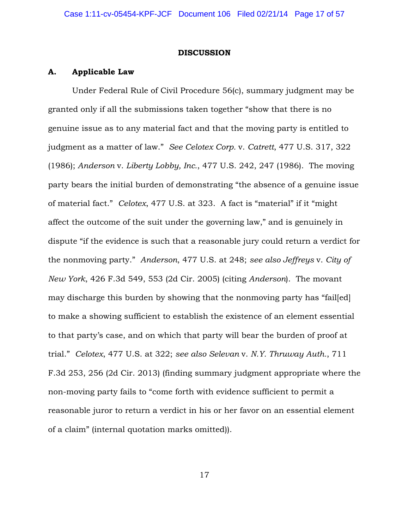#### **DISCUSSION**

### **A. Applicable Law**

Under Federal Rule of Civil Procedure 56(c), summary judgment may be granted only if all the submissions taken together "show that there is no genuine issue as to any material fact and that the moving party is entitled to judgment as a matter of law." *See Celotex Corp.* v. *Catrett*, 477 U.S. 317, 322 (1986); *Anderson* v. *Liberty Lobby, Inc.*, 477 U.S. 242, 247 (1986). The moving party bears the initial burden of demonstrating "the absence of a genuine issue of material fact." *Celotex*, 477 U.S. at 323. A fact is "material" if it "might affect the outcome of the suit under the governing law," and is genuinely in dispute "if the evidence is such that a reasonable jury could return a verdict for the nonmoving party." *Anderson*, 477 U.S. at 248; *see also Jeffreys* v. *City of New York*, 426 F.3d 549, 553 (2d Cir. 2005) (citing *Anderson*). The movant may discharge this burden by showing that the nonmoving party has "failed] to make a showing sufficient to establish the existence of an element essential to that party's case, and on which that party will bear the burden of proof at trial." *Celotex*, 477 U.S. at 322; *see also Selevan* v. *N.Y. Thruway Auth.*, 711 F.3d 253, 256 (2d Cir. 2013) (finding summary judgment appropriate where the non-moving party fails to "come forth with evidence sufficient to permit a reasonable juror to return a verdict in his or her favor on an essential element of a claim" (internal quotation marks omitted)).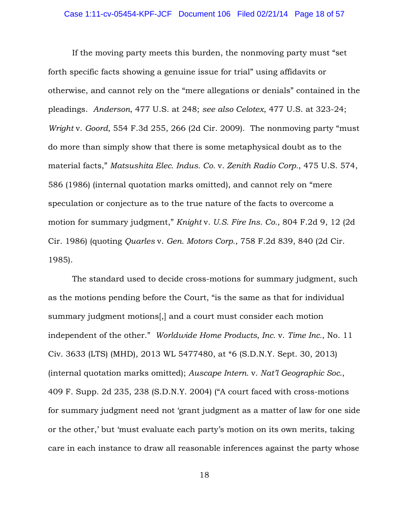### Case 1:11-cv-05454-KPF-JCF Document 106 Filed 02/21/14 Page 18 of 57

If the moving party meets this burden, the nonmoving party must "set forth specific facts showing a genuine issue for trial" using affidavits or otherwise, and cannot rely on the "mere allegations or denials" contained in the pleadings. *Anderson*, 477 U.S. at 248; *see also Celotex*, 477 U.S. at 323-24; *Wright* v. *Goord*, 554 F.3d 255, 266 (2d Cir. 2009). The nonmoving party "must do more than simply show that there is some metaphysical doubt as to the material facts," *Matsushita Elec. Indus. Co.* v. *Zenith Radio Corp.*, 475 U.S. 574, 586 (1986) (internal quotation marks omitted), and cannot rely on "mere speculation or conjecture as to the true nature of the facts to overcome a motion for summary judgment," *Knight* v. *U.S. Fire Ins. Co.*, 804 F.2d 9, 12 (2d Cir. 1986) (quoting *Quarles* v. *Gen. Motors Corp.*, 758 F.2d 839, 840 (2d Cir. 1985).

The standard used to decide cross-motions for summary judgment, such as the motions pending before the Court, "is the same as that for individual summary judgment motions[,] and a court must consider each motion independent of the other." *Worldwide Home Products, Inc.* v. *Time Inc.*, No. 11 Civ. 3633 (LTS) (MHD), 2013 WL 5477480, at \*6 (S.D.N.Y. Sept. 30, 2013) (internal quotation marks omitted); *Auscape Intern.* v. *Nat'l Geographic Soc.*, 409 F. Supp. 2d 235, 238 (S.D.N.Y. 2004) ("A court faced with cross-motions for summary judgment need not 'grant judgment as a matter of law for one side or the other,' but 'must evaluate each party's motion on its own merits, taking care in each instance to draw all reasonable inferences against the party whose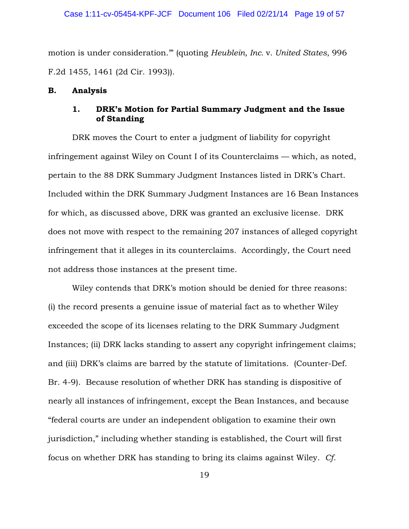motion is under consideration.'" (quoting *Heublein, Inc.* v. *United States*, 996 F.2d 1455, 1461 (2d Cir. 1993)).

### **B. Analysis**

## **1. DRK's Motion for Partial Summary Judgment and the Issue of Standing**

DRK moves the Court to enter a judgment of liability for copyright infringement against Wiley on Count I of its Counterclaims — which, as noted, pertain to the 88 DRK Summary Judgment Instances listed in DRK's Chart. Included within the DRK Summary Judgment Instances are 16 Bean Instances for which, as discussed above, DRK was granted an exclusive license. DRK does not move with respect to the remaining 207 instances of alleged copyright infringement that it alleges in its counterclaims. Accordingly, the Court need not address those instances at the present time.

Wiley contends that DRK's motion should be denied for three reasons: (i) the record presents a genuine issue of material fact as to whether Wiley exceeded the scope of its licenses relating to the DRK Summary Judgment Instances; (ii) DRK lacks standing to assert any copyright infringement claims; and (iii) DRK's claims are barred by the statute of limitations. (Counter-Def. Br. 4-9). Because resolution of whether DRK has standing is dispositive of nearly all instances of infringement, except the Bean Instances, and because "federal courts are under an independent obligation to examine their own jurisdiction," including whether standing is established, the Court will first focus on whether DRK has standing to bring its claims against Wiley. *Cf.*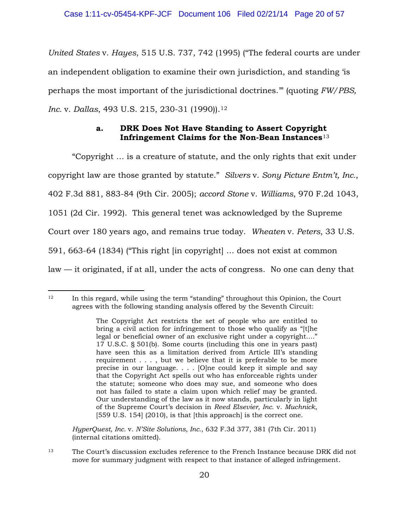*United States* v. *Hayes*, 515 U.S. 737, 742 (1995) ("The federal courts are under an independent obligation to examine their own jurisdiction, and standing 'is perhaps the most important of the jurisdictional doctrines.'" (quoting *FW/PBS, Inc.* v. *Dallas*, 493 U.S. 215, 230-31 (1990)).<sup>12</sup>

# **a. DRK Does Not Have Standing to Assert Copyright Infringement Claims for the Non-Bean Instances**<sup>13</sup>

 "Copyright … is a creature of statute, and the only rights that exit under copyright law are those granted by statute." *Silvers* v. *Sony Picture Entm't, Inc.*, 402 F.3d 881, 883-84 (9th Cir. 2005); *accord Stone* v. *Williams*, 970 F.2d 1043, 1051 (2d Cir. 1992). This general tenet was acknowledged by the Supreme Court over 180 years ago, and remains true today. *Wheaten* v. *Peters*, 33 U.S. 591, 663-64 (1834) ("This right [in copyright] … does not exist at common law — it originated, if at all, under the acts of congress. No one can deny that

*HyperQuest, Inc.* v. *N'Site Solutions, Inc.*, 632 F.3d 377, 381 (7th Cir. 2011) (internal citations omitted).

 $12$  In this regard, while using the term "standing" throughout this Opinion, the Court agrees with the following standing analysis offered by the Seventh Circuit:  $\overline{a}$ 

The Copyright Act restricts the set of people who are entitled to bring a civil action for infringement to those who qualify as "[t]he legal or beneficial owner of an exclusive right under a copyright...." 17 U.S.C. § 501(b). Some courts (including this one in years past) have seen this as a limitation derived from Article III's standing requirement . . . , but we believe that it is preferable to be more precise in our language. . . . [O]ne could keep it simple and say that the Copyright Act spells out who has enforceable rights under the statute; someone who does may sue, and someone who does not has failed to state a claim upon which relief may be granted. Our understanding of the law as it now stands, particularly in light of the Supreme Court's decision in *Reed Elsevier, Inc.* v. *Muchnick*, [559 U.S. 154] (2010), is that [this approach] is the correct one.

<sup>13</sup> The Court's discussion excludes reference to the French Instance because DRK did not move for summary judgment with respect to that instance of alleged infringement.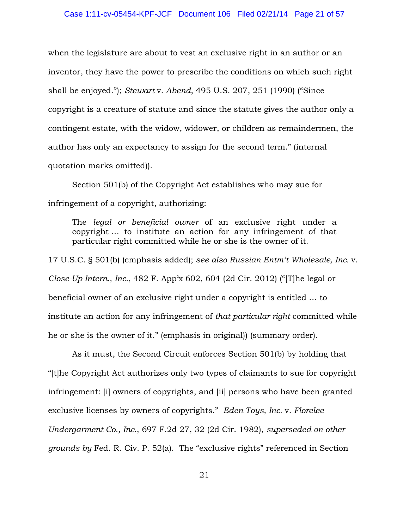when the legislature are about to vest an exclusive right in an author or an inventor, they have the power to prescribe the conditions on which such right shall be enjoyed."); *Stewart* v. *Abend*, 495 U.S. 207, 251 (1990) ("Since copyright is a creature of statute and since the statute gives the author only a contingent estate, with the widow, widower, or children as remaindermen, the author has only an expectancy to assign for the second term." (internal quotation marks omitted)).

Section 501(b) of the Copyright Act establishes who may sue for infringement of a copyright, authorizing:

The *legal or beneficial owner* of an exclusive right under a copyright … to institute an action for any infringement of that particular right committed while he or she is the owner of it.

17 U.S.C. § 501(b) (emphasis added); *see also Russian Entm't Wholesale, Inc.* v. *Close-Up Intern., Inc.*, 482 F. App'x 602, 604 (2d Cir. 2012) ("[T]he legal or beneficial owner of an exclusive right under a copyright is entitled … to institute an action for any infringement of *that particular right* committed while he or she is the owner of it." (emphasis in original)) (summary order).

As it must, the Second Circuit enforces Section 501(b) by holding that "[t]he Copyright Act authorizes only two types of claimants to sue for copyright infringement: [i] owners of copyrights, and [ii] persons who have been granted exclusive licenses by owners of copyrights." *Eden Toys, Inc.* v. *Florelee Undergarment Co., Inc.*, 697 F.2d 27, 32 (2d Cir. 1982), *superseded on other grounds by* Fed. R. Civ. P. 52(a). The "exclusive rights" referenced in Section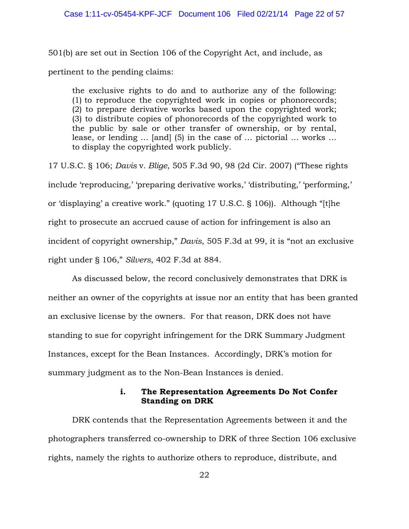501(b) are set out in Section 106 of the Copyright Act, and include, as pertinent to the pending claims:

the exclusive rights to do and to authorize any of the following: (1) to reproduce the copyrighted work in copies or phonorecords; (2) to prepare derivative works based upon the copyrighted work; (3) to distribute copies of phonorecords of the copyrighted work to the public by sale or other transfer of ownership, or by rental, lease, or lending … [and] (5) in the case of … pictorial … works … to display the copyrighted work publicly.

17 U.S.C. § 106; *Davis* v*. Blige*, 505 F.3d 90, 98 (2d Cir. 2007) ("These rights include 'reproducing,' 'preparing derivative works,' 'distributing,' 'performing,' or 'displaying' a creative work." (quoting 17 U.S.C. § 106)). Although "[t]he right to prosecute an accrued cause of action for infringement is also an incident of copyright ownership," *Davis*, 505 F.3d at 99, it is "not an exclusive right under § 106," *Silvers*, 402 F.3d at 884.

As discussed below, the record conclusively demonstrates that DRK is neither an owner of the copyrights at issue nor an entity that has been granted an exclusive license by the owners. For that reason, DRK does not have standing to sue for copyright infringement for the DRK Summary Judgment Instances, except for the Bean Instances. Accordingly, DRK's motion for summary judgment as to the Non-Bean Instances is denied.

## **i. The Representation Agreements Do Not Confer Standing on DRK**

DRK contends that the Representation Agreements between it and the photographers transferred co-ownership to DRK of three Section 106 exclusive rights, namely the rights to authorize others to reproduce, distribute, and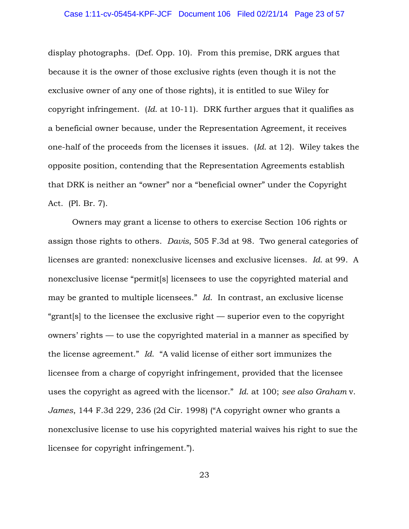display photographs. (Def. Opp. 10). From this premise, DRK argues that because it is the owner of those exclusive rights (even though it is not the exclusive owner of any one of those rights), it is entitled to sue Wiley for copyright infringement. (*Id*. at 10-11). DRK further argues that it qualifies as a beneficial owner because, under the Representation Agreement, it receives one-half of the proceeds from the licenses it issues. (*Id*. at 12). Wiley takes the opposite position, contending that the Representation Agreements establish that DRK is neither an "owner" nor a "beneficial owner" under the Copyright Act. (Pl. Br. 7).

Owners may grant a license to others to exercise Section 106 rights or assign those rights to others. *Davis*, 505 F.3d at 98. Two general categories of licenses are granted: nonexclusive licenses and exclusive licenses. *Id*. at 99. A nonexclusive license "permit[s] licensees to use the copyrighted material and may be granted to multiple licensees." *Id*. In contrast, an exclusive license "grant[s] to the licensee the exclusive right — superior even to the copyright owners' rights — to use the copyrighted material in a manner as specified by the license agreement." *Id*. "A valid license of either sort immunizes the licensee from a charge of copyright infringement, provided that the licensee uses the copyright as agreed with the licensor." *Id*. at 100; *see also Graham* v. *James*, 144 F.3d 229, 236 (2d Cir. 1998) ("A copyright owner who grants a nonexclusive license to use his copyrighted material waives his right to sue the licensee for copyright infringement.").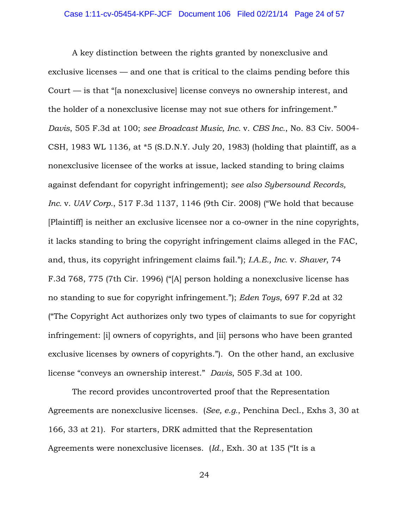A key distinction between the rights granted by nonexclusive and exclusive licenses — and one that is critical to the claims pending before this Court — is that "[a nonexclusive] license conveys no ownership interest, and the holder of a nonexclusive license may not sue others for infringement." *Davis*, 505 F.3d at 100; *see Broadcast Music, Inc.* v. *CBS Inc.*, No. 83 Civ. 5004- CSH, 1983 WL 1136, at \*5 (S.D.N.Y. July 20, 1983) (holding that plaintiff, as a nonexclusive licensee of the works at issue, lacked standing to bring claims against defendant for copyright infringement); *see also Sybersound Records, Inc.* v. *UAV Corp.*, 517 F.3d 1137, 1146 (9th Cir. 2008) ("We hold that because [Plaintiff] is neither an exclusive licensee nor a co-owner in the nine copyrights, it lacks standing to bring the copyright infringement claims alleged in the FAC, and, thus, its copyright infringement claims fail."); *I.A.E., Inc.* v. *Shaver*, 74 F.3d 768, 775 (7th Cir. 1996) ("[A] person holding a nonexclusive license has no standing to sue for copyright infringement."); *Eden Toys*, 697 F.2d at 32 ("The Copyright Act authorizes only two types of claimants to sue for copyright infringement: [i] owners of copyrights, and [ii] persons who have been granted exclusive licenses by owners of copyrights."). On the other hand, an exclusive license "conveys an ownership interest." *Davis*, 505 F.3d at 100.

The record provides uncontroverted proof that the Representation Agreements are nonexclusive licenses. (*See, e.g.*, Penchina Decl., Exhs 3, 30 at 166, 33 at 21). For starters, DRK admitted that the Representation Agreements were nonexclusive licenses. (*Id.*, Exh. 30 at 135 ("It is a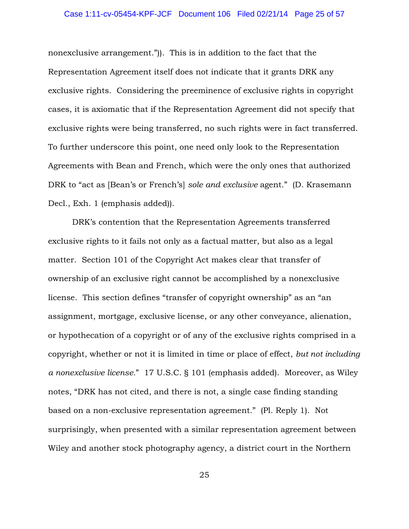nonexclusive arrangement.")). This is in addition to the fact that the Representation Agreement itself does not indicate that it grants DRK any exclusive rights. Considering the preeminence of exclusive rights in copyright cases, it is axiomatic that if the Representation Agreement did not specify that exclusive rights were being transferred, no such rights were in fact transferred. To further underscore this point, one need only look to the Representation Agreements with Bean and French, which were the only ones that authorized DRK to "act as [Bean's or French's] *sole and exclusive* agent." (D. Krasemann Decl., Exh. 1 (emphasis added)).

DRK's contention that the Representation Agreements transferred exclusive rights to it fails not only as a factual matter, but also as a legal matter. Section 101 of the Copyright Act makes clear that transfer of ownership of an exclusive right cannot be accomplished by a nonexclusive license. This section defines "transfer of copyright ownership" as an "an assignment, mortgage, exclusive license, or any other conveyance, alienation, or hypothecation of a copyright or of any of the exclusive rights comprised in a copyright, whether or not it is limited in time or place of effect, *but not including a nonexclusive license.*" 17 U.S.C. § 101 (emphasis added). Moreover, as Wiley notes, "DRK has not cited, and there is not, a single case finding standing based on a non-exclusive representation agreement." (Pl. Reply 1). Not surprisingly, when presented with a similar representation agreement between Wiley and another stock photography agency, a district court in the Northern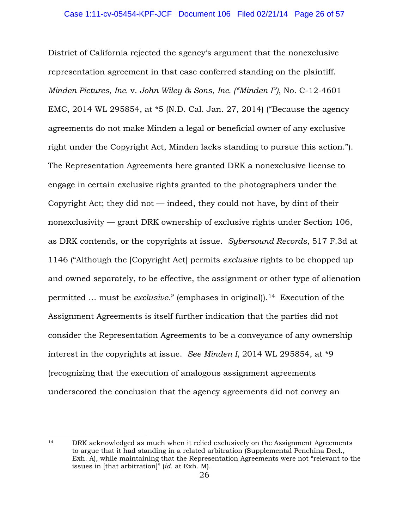District of California rejected the agency's argument that the nonexclusive representation agreement in that case conferred standing on the plaintiff. *Minden Pictures, Inc.* v. *John Wiley & Sons*, *Inc. ("Minden I")*, No. C-12-4601 EMC, 2014 WL 295854, at \*5 (N.D. Cal. Jan. 27, 2014) ("Because the agency agreements do not make Minden a legal or beneficial owner of any exclusive right under the Copyright Act, Minden lacks standing to pursue this action."). The Representation Agreements here granted DRK a nonexclusive license to engage in certain exclusive rights granted to the photographers under the Copyright Act; they did not  $-$  indeed, they could not have, by dint of their nonexclusivity — grant DRK ownership of exclusive rights under Section 106, as DRK contends, or the copyrights at issue. *Sybersound Records*, 517 F.3d at 1146 ("Although the [Copyright Act] permits *exclusive* rights to be chopped up and owned separately, to be effective, the assignment or other type of alienation permitted … must be *exclusive*." (emphases in original)).14 Execution of the Assignment Agreements is itself further indication that the parties did not consider the Representation Agreements to be a conveyance of any ownership interest in the copyrights at issue. *See Minden I*, 2014 WL 295854, at \*9 (recognizing that the execution of analogous assignment agreements underscored the conclusion that the agency agreements did not convey an

<sup>14</sup> DRK acknowledged as much when it relied exclusively on the Assignment Agreements to argue that it had standing in a related arbitration (Supplemental Penchina Decl., Exh. A), while maintaining that the Representation Agreements were not "relevant to the issues in [that arbitration]" (*id*. at Exh. M).  $\overline{a}$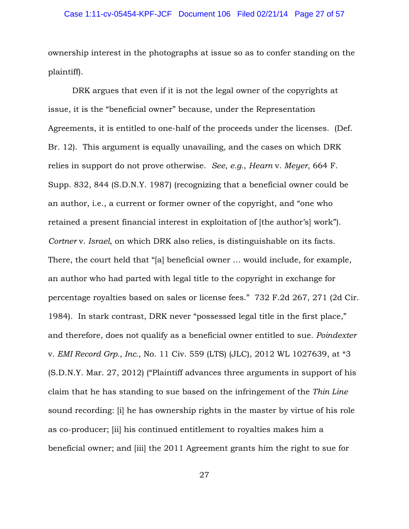ownership interest in the photographs at issue so as to confer standing on the plaintiff).

DRK argues that even if it is not the legal owner of the copyrights at issue, it is the "beneficial owner" because, under the Representation Agreements, it is entitled to one-half of the proceeds under the licenses. (Def. Br. 12). This argument is equally unavailing, and the cases on which DRK relies in support do not prove otherwise. *See, e.g.*, *Hearn* v. *Meyer*, 664 F. Supp. 832, 844 (S.D.N.Y. 1987) (recognizing that a beneficial owner could be an author, i.e., a current or former owner of the copyright, and "one who retained a present financial interest in exploitation of [the author's] work"). *Cortner* v. *Israel*, on which DRK also relies, is distinguishable on its facts. There, the court held that "[a] beneficial owner … would include, for example, an author who had parted with legal title to the copyright in exchange for percentage royalties based on sales or license fees." 732 F.2d 267, 271 (2d Cir. 1984). In stark contrast, DRK never "possessed legal title in the first place," and therefore, does not qualify as a beneficial owner entitled to sue. *Poindexter*  v. *EMI Record Grp., Inc.*, No. 11 Civ. 559 (LTS) (JLC), 2012 WL 1027639, at \*3 (S.D.N.Y. Mar. 27, 2012) ("Plaintiff advances three arguments in support of his claim that he has standing to sue based on the infringement of the *Thin Line* sound recording: [i] he has ownership rights in the master by virtue of his role as co-producer; [ii] his continued entitlement to royalties makes him a beneficial owner; and [iii] the 2011 Agreement grants him the right to sue for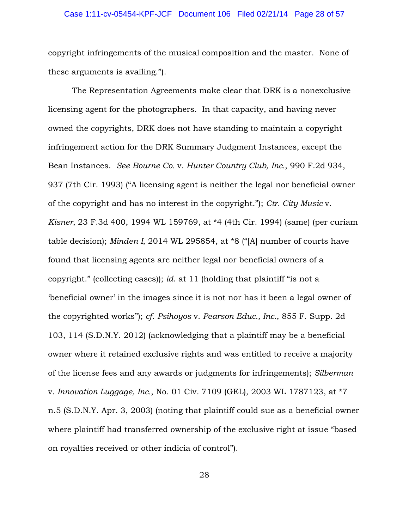### Case 1:11-cv-05454-KPF-JCF Document 106 Filed 02/21/14 Page 28 of 57

copyright infringements of the musical composition and the master. None of these arguments is availing.").

The Representation Agreements make clear that DRK is a nonexclusive licensing agent for the photographers. In that capacity, and having never owned the copyrights, DRK does not have standing to maintain a copyright infringement action for the DRK Summary Judgment Instances, except the Bean Instances. *See Bourne Co.* v. *Hunter Country Club, Inc.*, 990 F.2d 934, 937 (7th Cir. 1993) ("A licensing agent is neither the legal nor beneficial owner of the copyright and has no interest in the copyright."); *Ctr. City Music* v. *Kisner*, 23 F.3d 400, 1994 WL 159769, at \*4 (4th Cir. 1994) (same) (per curiam table decision); *Minden I*, 2014 WL 295854, at \*8 ("[A] number of courts have found that licensing agents are neither legal nor beneficial owners of a copyright." (collecting cases)); *id*. at 11 (holding that plaintiff "is not a 'beneficial owner' in the images since it is not nor has it been a legal owner of the copyrighted works"); *cf*. *Psihoyos* v. *Pearson Educ., Inc.*, 855 F. Supp. 2d 103, 114 (S.D.N.Y. 2012) (acknowledging that a plaintiff may be a beneficial owner where it retained exclusive rights and was entitled to receive a majority of the license fees and any awards or judgments for infringements); *Silberman*  v. *Innovation Luggage, Inc.*, No. 01 Civ. 7109 (GEL), 2003 WL 1787123, at \*7 n.5 (S.D.N.Y. Apr. 3, 2003) (noting that plaintiff could sue as a beneficial owner where plaintiff had transferred ownership of the exclusive right at issue "based on royalties received or other indicia of control").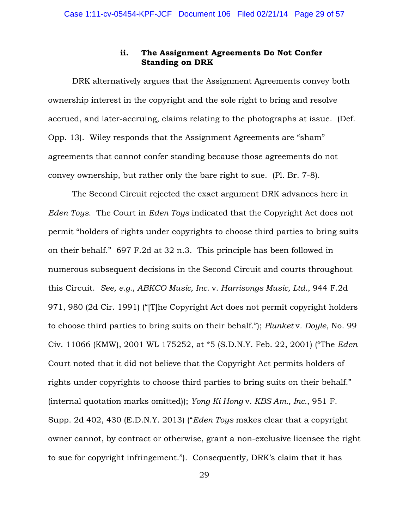## **ii. The Assignment Agreements Do Not Confer Standing on DRK**

DRK alternatively argues that the Assignment Agreements convey both ownership interest in the copyright and the sole right to bring and resolve accrued, and later-accruing, claims relating to the photographs at issue. (Def. Opp. 13). Wiley responds that the Assignment Agreements are "sham" agreements that cannot confer standing because those agreements do not convey ownership, but rather only the bare right to sue. (Pl. Br. 7-8).

The Second Circuit rejected the exact argument DRK advances here in *Eden Toys*. The Court in *Eden Toys* indicated that the Copyright Act does not permit "holders of rights under copyrights to choose third parties to bring suits on their behalf." 697 F.2d at 32 n.3. This principle has been followed in numerous subsequent decisions in the Second Circuit and courts throughout this Circuit. *See, e.g., ABKCO Music, Inc.* v*. Harrisongs Music, Ltd.*, 944 F.2d 971, 980 (2d Cir. 1991) ("[T]he Copyright Act does not permit copyright holders to choose third parties to bring suits on their behalf."); *Plunket* v*. Doyle*, No. 99 Civ. 11066 (KMW), 2001 WL 175252, at \*5 (S.D.N.Y. Feb. 22, 2001) ("The *Eden* Court noted that it did not believe that the Copyright Act permits holders of rights under copyrights to choose third parties to bring suits on their behalf." (internal quotation marks omitted)); *Yong Ki Hong* v*. KBS Am., Inc.*, 951 F. Supp. 2d 402, 430 (E.D.N.Y. 2013) ("*Eden Toys* makes clear that a copyright owner cannot, by contract or otherwise, grant a non-exclusive licensee the right to sue for copyright infringement."). Consequently, DRK's claim that it has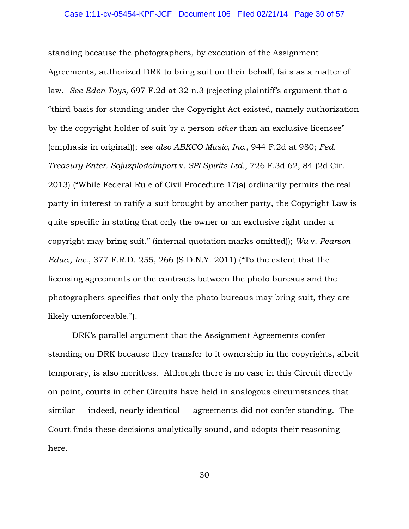standing because the photographers, by execution of the Assignment Agreements, authorized DRK to bring suit on their behalf, fails as a matter of law. *See Eden Toys,* 697 F.2d at 32 n.3 (rejecting plaintiff's argument that a "third basis for standing under the Copyright Act existed, namely authorization by the copyright holder of suit by a person *other* than an exclusive licensee" (emphasis in original)); *see also ABKCO Music, Inc.*, 944 F.2d at 980; *Fed. Treasury Enter. Sojuzplodoimport* v*. SPI Spirits Ltd.*, 726 F.3d 62, 84 (2d Cir. 2013) ("While Federal Rule of Civil Procedure 17(a) ordinarily permits the real party in interest to ratify a suit brought by another party, the Copyright Law is quite specific in stating that only the owner or an exclusive right under a copyright may bring suit." (internal quotation marks omitted)); *Wu* v. *Pearson Educ., Inc.*, 377 F.R.D. 255, 266 (S.D.N.Y. 2011) ("To the extent that the licensing agreements or the contracts between the photo bureaus and the photographers specifies that only the photo bureaus may bring suit, they are likely unenforceable.").

DRK's parallel argument that the Assignment Agreements confer standing on DRK because they transfer to it ownership in the copyrights, albeit temporary, is also meritless. Although there is no case in this Circuit directly on point, courts in other Circuits have held in analogous circumstances that  $similar$  — indeed, nearly identical — agreements did not confer standing. The Court finds these decisions analytically sound, and adopts their reasoning here.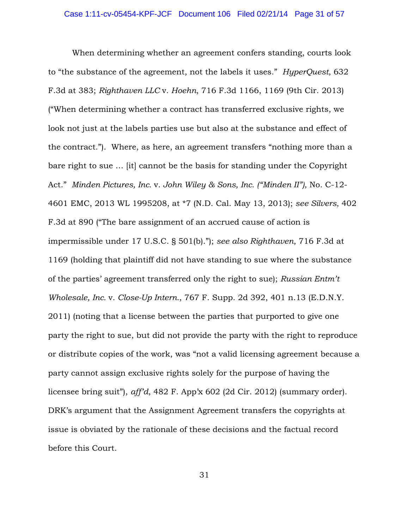When determining whether an agreement confers standing, courts look to "the substance of the agreement, not the labels it uses." *HyperQuest*, 632 F.3d at 383; *Righthaven LLC* v. *Hoehn*, 716 F.3d 1166, 1169 (9th Cir. 2013) ("When determining whether a contract has transferred exclusive rights, we look not just at the labels parties use but also at the substance and effect of the contract."). Where, as here, an agreement transfers "nothing more than a bare right to sue … [it] cannot be the basis for standing under the Copyright Act." *Minden Pictures, Inc.* v. *John Wiley & Sons, Inc. ("Minden II")*, No. C-12- 4601 EMC, 2013 WL 1995208, at \*7 (N.D. Cal. May 13, 2013); *see Silvers*, 402 F.3d at 890 ("The bare assignment of an accrued cause of action is impermissible under 17 U.S.C. § 501(b)."); *see also Righthaven*, 716 F.3d at 1169 (holding that plaintiff did not have standing to sue where the substance of the parties' agreement transferred only the right to sue); *Russian Entm't Wholesale, Inc.* v. *Close-Up Intern.*, 767 F. Supp. 2d 392, 401 n.13 (E.D.N.Y. 2011) (noting that a license between the parties that purported to give one party the right to sue, but did not provide the party with the right to reproduce or distribute copies of the work, was "not a valid licensing agreement because a party cannot assign exclusive rights solely for the purpose of having the licensee bring suit"), *aff'd*, 482 F. App'x 602 (2d Cir. 2012) (summary order). DRK's argument that the Assignment Agreement transfers the copyrights at issue is obviated by the rationale of these decisions and the factual record before this Court.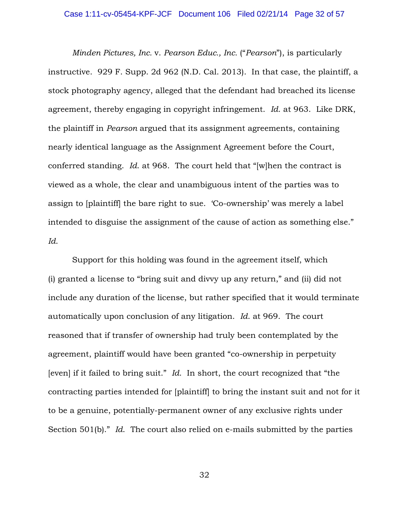### Case 1:11-cv-05454-KPF-JCF Document 106 Filed 02/21/14 Page 32 of 57

*Minden Pictures, Inc.* v. *Pearson Educ., Inc.* ("*Pearson*"), is particularly instructive. 929 F. Supp. 2d 962 (N.D. Cal. 2013). In that case, the plaintiff, a stock photography agency, alleged that the defendant had breached its license agreement, thereby engaging in copyright infringement. *Id*. at 963. Like DRK, the plaintiff in *Pearson* argued that its assignment agreements, containing nearly identical language as the Assignment Agreement before the Court, conferred standing. *Id*. at 968. The court held that "[w]hen the contract is viewed as a whole, the clear and unambiguous intent of the parties was to assign to [plaintiff] the bare right to sue. 'Co-ownership' was merely a label intended to disguise the assignment of the cause of action as something else." *Id*.

Support for this holding was found in the agreement itself, which (i) granted a license to "bring suit and divvy up any return," and (ii) did not include any duration of the license, but rather specified that it would terminate automatically upon conclusion of any litigation. *Id*. at 969. The court reasoned that if transfer of ownership had truly been contemplated by the agreement, plaintiff would have been granted "co-ownership in perpetuity [even] if it failed to bring suit." *Id*. In short, the court recognized that "the contracting parties intended for [plaintiff] to bring the instant suit and not for it to be a genuine, potentially-permanent owner of any exclusive rights under Section 501(b)." *Id*. The court also relied on e-mails submitted by the parties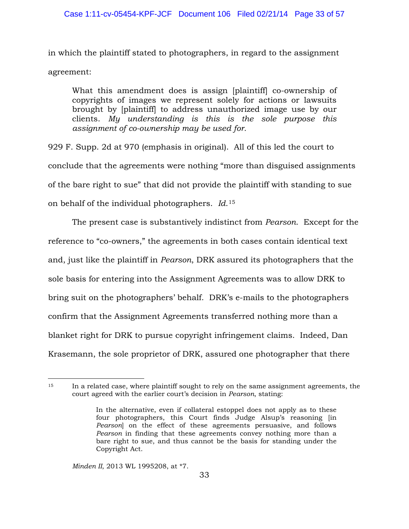in which the plaintiff stated to photographers, in regard to the assignment agreement:

What this amendment does is assign [plaintiff] co-ownership of copyrights of images we represent solely for actions or lawsuits brought by [plaintiff] to address unauthorized image use by our clients. *My understanding is this is the sole purpose this assignment of co-ownership may be used for.*

929 F. Supp. 2d at 970 (emphasis in original). All of this led the court to conclude that the agreements were nothing "more than disguised assignments of the bare right to sue" that did not provide the plaintiff with standing to sue on behalf of the individual photographers. *Id*.15

 The present case is substantively indistinct from *Pearson*. Except for the reference to "co-owners," the agreements in both cases contain identical text and, just like the plaintiff in *Pearson*, DRK assured its photographers that the sole basis for entering into the Assignment Agreements was to allow DRK to bring suit on the photographers' behalf. DRK's e-mails to the photographers confirm that the Assignment Agreements transferred nothing more than a blanket right for DRK to pursue copyright infringement claims. Indeed, Dan Krasemann, the sole proprietor of DRK, assured one photographer that there

*Minden II*, 2013 WL 1995208, at \*7.

<sup>&</sup>lt;sup>15</sup> In a related case, where plaintiff sought to rely on the same assignment agreements, the court agreed with the earlier court's decision in *Pearson*, stating:  $\overline{a}$ 

In the alternative, even if collateral estoppel does not apply as to these four photographers, this Court finds Judge Alsup's reasoning [in *Pearson*] on the effect of these agreements persuasive, and follows *Pearson* in finding that these agreements convey nothing more than a bare right to sue, and thus cannot be the basis for standing under the Copyright Act.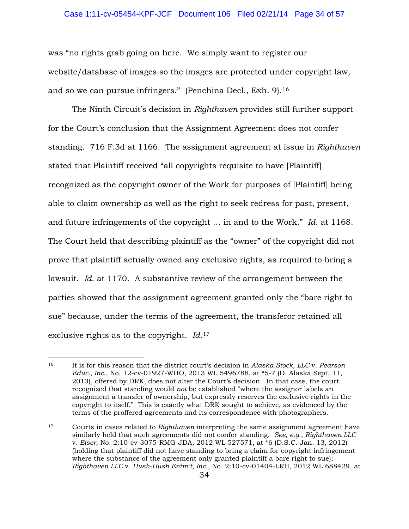### Case 1:11-cv-05454-KPF-JCF Document 106 Filed 02/21/14 Page 34 of 57

was "no rights grab going on here. We simply want to register our website/database of images so the images are protected under copyright law, and so we can pursue infringers." (Penchina Decl., Exh. 9).16

 The Ninth Circuit's decision in *Righthaven* provides still further support for the Court's conclusion that the Assignment Agreement does not confer standing. 716 F.3d at 1166. The assignment agreement at issue in *Righthaven*  stated that Plaintiff received "all copyrights requisite to have [Plaintiff] recognized as the copyright owner of the Work for purposes of [Plaintiff] being able to claim ownership as well as the right to seek redress for past, present, and future infringements of the copyright … in and to the Work." *Id*. at 1168. The Court held that describing plaintiff as the "owner" of the copyright did not prove that plaintiff actually owned any exclusive rights, as required to bring a lawsuit. *Id*. at 1170. A substantive review of the arrangement between the parties showed that the assignment agreement granted only the "bare right to sue" because, under the terms of the agreement, the transferor retained all exclusive rights as to the copyright. *Id*.17

 $\overline{a}$ 

<sup>16</sup> It is for this reason that the district court's decision in *Alaska Stock, LLC* v. *Pearson Educ., Inc*., No. 12-cv-01927-WHO, 2013 WL 5496788, at \*5-7 (D. Alaska Sept. 11, 2013), offered by DRK, does not alter the Court's decision. In that case, the court recognized that standing would *not* be established "where the assignor labels an assignment a transfer of ownership, but expressly reserves the exclusive rights in the copyright to itself." This is exactly what DRK sought to achieve, as evidenced by the terms of the proffered agreements and its correspondence with photographers.

<sup>17</sup> Courts in cases related to *Righthaven* interpreting the same assignment agreement have similarly held that such agreements did not confer standing. *See, e.g.*, *Righthaven LLC*  v. *Eiser*, No. 2:10-cv-3075-RMG-JDA, 2012 WL 527571, at \*6 (D.S.C. Jan. 13, 2012) (holding that plaintiff did not have standing to bring a claim for copyright infringement where the substance of the agreement only granted plaintiff a bare right to sue); *Righthaven LLC* v. *Hush-Hush Entm't, Inc*., No. 2:10-cv-01404-LRH, 2012 WL 688429, at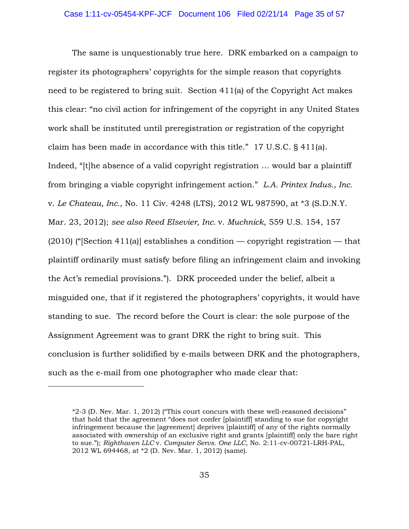The same is unquestionably true here. DRK embarked on a campaign to register its photographers' copyrights for the simple reason that copyrights need to be registered to bring suit. Section 411(a) of the Copyright Act makes this clear: "no civil action for infringement of the copyright in any United States work shall be instituted until preregistration or registration of the copyright claim has been made in accordance with this title." 17 U.S.C. § 411(a). Indeed, "[t]he absence of a valid copyright registration … would bar a plaintiff from bringing a viable copyright infringement action." *L.A. Printex Indus., Inc.*  v. *Le Chateau, Inc.*, No. 11 Civ. 4248 (LTS), 2012 WL 987590, at \*3 (S.D.N.Y. Mar. 23, 2012); *see also Reed Elsevier, Inc.* v. *Muchnick*, 559 U.S. 154, 157  $(2010)$  ("Section 411(a)] establishes a condition — copyright registration — that plaintiff ordinarily must satisfy before filing an infringement claim and invoking the Act's remedial provisions."). DRK proceeded under the belief, albeit a misguided one, that if it registered the photographers' copyrights, it would have standing to sue. The record before the Court is clear: the sole purpose of the Assignment Agreement was to grant DRK the right to bring suit. This conclusion is further solidified by e-mails between DRK and the photographers, such as the e-mail from one photographer who made clear that:

 $\overline{a}$ 

<sup>\*2-3</sup> (D. Nev. Mar. 1, 2012) ("This court concurs with these well-reasoned decisions" that hold that the agreement "does not confer [plaintiff] standing to sue for copyright infringement because the [agreement] deprives [plaintiff] of any of the rights normally associated with ownership of an exclusive right and grants [plaintiff] only the bare right to sue."); *Righthaven LLC* v. *Computer Servs. One LLC*, No. 2:11-cv-00721-LRH-PAL, 2012 WL 694468, at \*2 (D. Nev. Mar. 1, 2012) (same).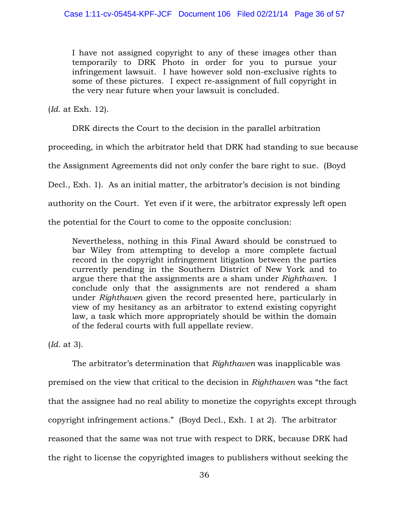I have not assigned copyright to any of these images other than temporarily to DRK Photo in order for you to pursue your infringement lawsuit. I have however sold non-exclusive rights to some of these pictures. I expect re-assignment of full copyright in the very near future when your lawsuit is concluded.

(*Id*. at Exh. 12).

DRK directs the Court to the decision in the parallel arbitration

proceeding, in which the arbitrator held that DRK had standing to sue because

the Assignment Agreements did not only confer the bare right to sue. (Boyd

Decl., Exh. 1). As an initial matter, the arbitrator's decision is not binding

authority on the Court. Yet even if it were, the arbitrator expressly left open

the potential for the Court to come to the opposite conclusion:

Nevertheless, nothing in this Final Award should be construed to bar Wiley from attempting to develop a more complete factual record in the copyright infringement litigation between the parties currently pending in the Southern District of New York and to argue there that the assignments are a sham under *Righthaven*. I conclude only that the assignments are not rendered a sham under *Righthaven* given the record presented here, particularly in view of my hesitancy as an arbitrator to extend existing copyright law, a task which more appropriately should be within the domain of the federal courts with full appellate review.

(*Id*. at 3).

The arbitrator's determination that *Righthaven* was inapplicable was premised on the view that critical to the decision in *Righthaven* was "the fact that the assignee had no real ability to monetize the copyrights except through copyright infringement actions." (Boyd Decl., Exh. 1 at 2). The arbitrator reasoned that the same was not true with respect to DRK, because DRK had the right to license the copyrighted images to publishers without seeking the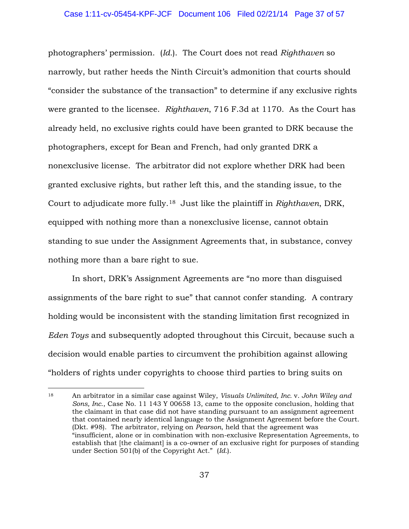photographers' permission. (*Id.*). The Court does not read *Righthaven* so narrowly, but rather heeds the Ninth Circuit's admonition that courts should "consider the substance of the transaction" to determine if any exclusive rights were granted to the licensee. *Righthaven*, 716 F.3d at 1170. As the Court has already held, no exclusive rights could have been granted to DRK because the photographers, except for Bean and French, had only granted DRK a nonexclusive license. The arbitrator did not explore whether DRK had been granted exclusive rights, but rather left this, and the standing issue, to the Court to adjudicate more fully.18 Just like the plaintiff in *Righthaven*, DRK, equipped with nothing more than a nonexclusive license, cannot obtain standing to sue under the Assignment Agreements that, in substance, convey nothing more than a bare right to sue.

 In short, DRK's Assignment Agreements are "no more than disguised assignments of the bare right to sue" that cannot confer standing. A contrary holding would be inconsistent with the standing limitation first recognized in *Eden Toys* and subsequently adopted throughout this Circuit, because such a decision would enable parties to circumvent the prohibition against allowing "holders of rights under copyrights to choose third parties to bring suits on

 $\overline{a}$ 

<sup>18</sup> An arbitrator in a similar case against Wiley, *Visuals Unlimited, Inc.* v. *John Wiley and Sons, Inc*., Case No. 11 143 Y 00658 13, came to the opposite conclusion, holding that the claimant in that case did not have standing pursuant to an assignment agreement that contained nearly identical language to the Assignment Agreement before the Court. (Dkt. #98). The arbitrator, relying on *Pearson*, held that the agreement was "insufficient, alone or in combination with non-exclusive Representation Agreements, to establish that [the claimant] is a co-owner of an exclusive right for purposes of standing under Section 501(b) of the Copyright Act." (*Id.*).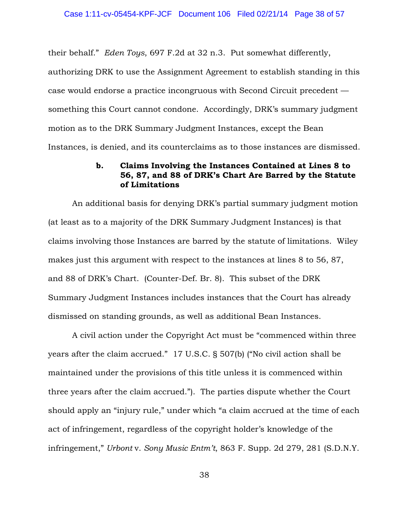their behalf." *Eden Toys*, 697 F.2d at 32 n.3. Put somewhat differently, authorizing DRK to use the Assignment Agreement to establish standing in this case would endorse a practice incongruous with Second Circuit precedent something this Court cannot condone. Accordingly, DRK's summary judgment motion as to the DRK Summary Judgment Instances, except the Bean Instances, is denied, and its counterclaims as to those instances are dismissed.

## **b. Claims Involving the Instances Contained at Lines 8 to 56, 87, and 88 of DRK's Chart Are Barred by the Statute of Limitations**

An additional basis for denying DRK's partial summary judgment motion (at least as to a majority of the DRK Summary Judgment Instances) is that claims involving those Instances are barred by the statute of limitations. Wiley makes just this argument with respect to the instances at lines 8 to 56, 87, and 88 of DRK's Chart. (Counter-Def. Br. 8). This subset of the DRK Summary Judgment Instances includes instances that the Court has already dismissed on standing grounds, as well as additional Bean Instances.

A civil action under the Copyright Act must be "commenced within three years after the claim accrued." 17 U.S.C. § 507(b) ("No civil action shall be maintained under the provisions of this title unless it is commenced within three years after the claim accrued."). The parties dispute whether the Court should apply an "injury rule," under which "a claim accrued at the time of each act of infringement, regardless of the copyright holder's knowledge of the infringement," *Urbont* v. *Sony Music Entm't*, 863 F. Supp. 2d 279, 281 (S.D.N.Y.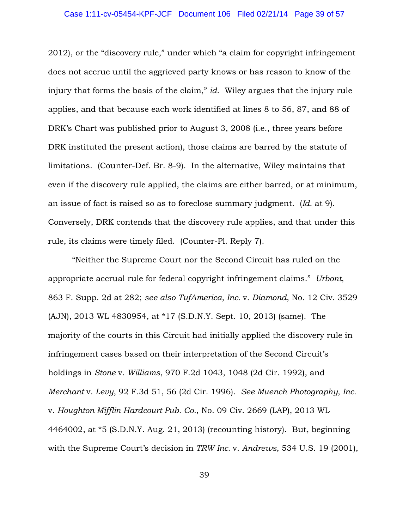2012), or the "discovery rule," under which "a claim for copyright infringement does not accrue until the aggrieved party knows or has reason to know of the injury that forms the basis of the claim," *id*. Wiley argues that the injury rule applies, and that because each work identified at lines 8 to 56, 87, and 88 of DRK's Chart was published prior to August 3, 2008 (i.e., three years before DRK instituted the present action), those claims are barred by the statute of limitations. (Counter-Def. Br. 8-9). In the alternative, Wiley maintains that even if the discovery rule applied, the claims are either barred, or at minimum, an issue of fact is raised so as to foreclose summary judgment. (*Id*. at 9). Conversely, DRK contends that the discovery rule applies, and that under this rule, its claims were timely filed. (Counter-Pl. Reply 7).

"Neither the Supreme Court nor the Second Circuit has ruled on the appropriate accrual rule for federal copyright infringement claims." *Urbont*, 863 F. Supp. 2d at 282; *see also TufAmerica, Inc.* v. *Diamond*, No. 12 Civ. 3529 (AJN), 2013 WL 4830954, at \*17 (S.D.N.Y. Sept. 10, 2013) (same). The majority of the courts in this Circuit had initially applied the discovery rule in infringement cases based on their interpretation of the Second Circuit's holdings in *Stone* v. *Williams*, 970 F.2d 1043, 1048 (2d Cir. 1992), and *Merchant* v. *Levy*, 92 F.3d 51, 56 (2d Cir. 1996). *See Muench Photography, Inc.*  v. *Houghton Mifflin Hardcourt Pub. Co.*, No. 09 Civ. 2669 (LAP), 2013 WL 4464002, at \*5 (S.D.N.Y. Aug. 21, 2013) (recounting history). But, beginning with the Supreme Court's decision in *TRW Inc.* v. *Andrews*, 534 U.S. 19 (2001),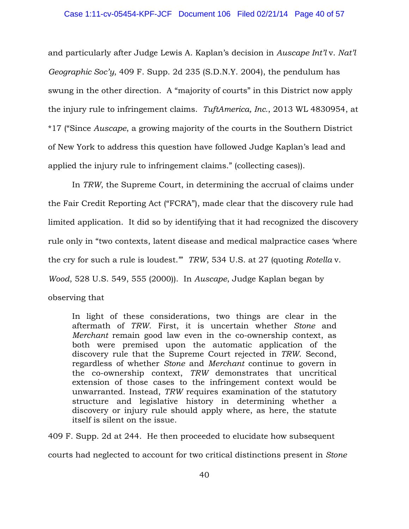and particularly after Judge Lewis A. Kaplan's decision in *Auscape Int'l* v. *Nat'l Geographic Soc'y*, 409 F. Supp. 2d 235 (S.D.N.Y. 2004), the pendulum has swung in the other direction. A "majority of courts" in this District now apply the injury rule to infringement claims. *TuftAmerica, Inc.*, 2013 WL 4830954, at \*17 ("Since *Auscape*, a growing majority of the courts in the Southern District of New York to address this question have followed Judge Kaplan's lead and applied the injury rule to infringement claims." (collecting cases)).

In *TRW*, the Supreme Court, in determining the accrual of claims under the Fair Credit Reporting Act ("FCRA"), made clear that the discovery rule had limited application. It did so by identifying that it had recognized the discovery rule only in "two contexts, latent disease and medical malpractice cases 'where the cry for such a rule is loudest.'" *TRW*, 534 U.S. at 27 (quoting *Rotella* v. *Wood*, 528 U.S. 549, 555 (2000)). In *Auscape*, Judge Kaplan began by observing that

In light of these considerations, two things are clear in the aftermath of *TRW*. First, it is uncertain whether *Stone* and *Merchant* remain good law even in the co-ownership context, as both were premised upon the automatic application of the discovery rule that the Supreme Court rejected in *TRW*. Second, regardless of whether *Stone* and *Merchant* continue to govern in the co-ownership context, *TRW* demonstrates that uncritical extension of those cases to the infringement context would be unwarranted. Instead, *TRW* requires examination of the statutory structure and legislative history in determining whether a discovery or injury rule should apply where, as here, the statute itself is silent on the issue.

409 F. Supp. 2d at 244. He then proceeded to elucidate how subsequent courts had neglected to account for two critical distinctions present in *Stone*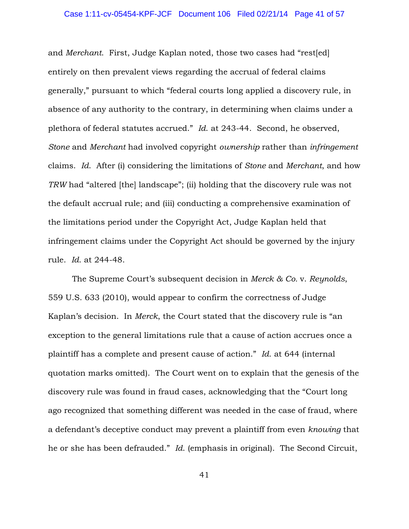### Case 1:11-cv-05454-KPF-JCF Document 106 Filed 02/21/14 Page 41 of 57

and *Merchant*. First, Judge Kaplan noted, those two cases had "rest[ed] entirely on then prevalent views regarding the accrual of federal claims generally," pursuant to which "federal courts long applied a discovery rule, in absence of any authority to the contrary, in determining when claims under a plethora of federal statutes accrued." *Id*. at 243-44. Second, he observed, *Stone* and *Merchant* had involved copyright *ownership* rather than *infringement* claims. *Id*. After (i) considering the limitations of *Stone* and *Merchant*, and how *TRW* had "altered [the] landscape"; (ii) holding that the discovery rule was not the default accrual rule; and (iii) conducting a comprehensive examination of the limitations period under the Copyright Act, Judge Kaplan held that infringement claims under the Copyright Act should be governed by the injury rule. *Id*. at 244-48.

The Supreme Court's subsequent decision in *Merck & Co.* v. *Reynolds*, 559 U.S. 633 (2010), would appear to confirm the correctness of Judge Kaplan's decision. In *Merck*, the Court stated that the discovery rule is "an exception to the general limitations rule that a cause of action accrues once a plaintiff has a complete and present cause of action." *Id*. at 644 (internal quotation marks omitted). The Court went on to explain that the genesis of the discovery rule was found in fraud cases, acknowledging that the "Court long ago recognized that something different was needed in the case of fraud, where a defendant's deceptive conduct may prevent a plaintiff from even *knowing* that he or she has been defrauded." *Id*. (emphasis in original). The Second Circuit,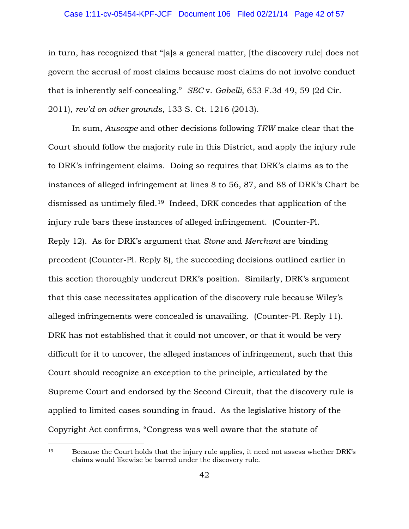### Case 1:11-cv-05454-KPF-JCF Document 106 Filed 02/21/14 Page 42 of 57

in turn, has recognized that "[a]s a general matter, [the discovery rule] does not govern the accrual of most claims because most claims do not involve conduct that is inherently self-concealing." *SEC* v. *Gabelli*, 653 F.3d 49, 59 (2d Cir. 2011), *rev'd on other grounds*, 133 S. Ct. 1216 (2013).

In sum, *Auscape* and other decisions following *TRW* make clear that the Court should follow the majority rule in this District, and apply the injury rule to DRK's infringement claims. Doing so requires that DRK's claims as to the instances of alleged infringement at lines 8 to 56, 87, and 88 of DRK's Chart be dismissed as untimely filed.19 Indeed, DRK concedes that application of the injury rule bars these instances of alleged infringement. (Counter-Pl. Reply 12). As for DRK's argument that *Stone* and *Merchant* are binding precedent (Counter-Pl. Reply 8), the succeeding decisions outlined earlier in this section thoroughly undercut DRK's position. Similarly, DRK's argument that this case necessitates application of the discovery rule because Wiley's alleged infringements were concealed is unavailing. (Counter-Pl. Reply 11). DRK has not established that it could not uncover, or that it would be very difficult for it to uncover, the alleged instances of infringement, such that this Court should recognize an exception to the principle, articulated by the Supreme Court and endorsed by the Second Circuit, that the discovery rule is applied to limited cases sounding in fraud. As the legislative history of the Copyright Act confirms, "Congress was well aware that the statute of

 $\overline{a}$ 

<sup>19</sup> Because the Court holds that the injury rule applies, it need not assess whether DRK's claims would likewise be barred under the discovery rule.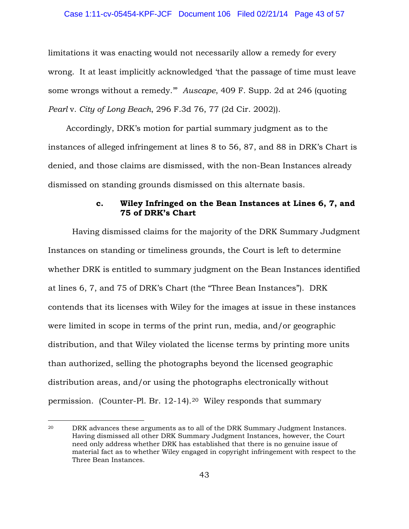### Case 1:11-cv-05454-KPF-JCF Document 106 Filed 02/21/14 Page 43 of 57

limitations it was enacting would not necessarily allow a remedy for every wrong. It at least implicitly acknowledged 'that the passage of time must leave some wrongs without a remedy.'" *Auscape*, 409 F. Supp. 2d at 246 (quoting *Pearl* v*. City of Long Beach*, 296 F.3d 76, 77 (2d Cir. 2002)).

 Accordingly, DRK's motion for partial summary judgment as to the instances of alleged infringement at lines 8 to 56, 87, and 88 in DRK's Chart is denied, and those claims are dismissed, with the non-Bean Instances already dismissed on standing grounds dismissed on this alternate basis.

## **c. Wiley Infringed on the Bean Instances at Lines 6, 7, and 75 of DRK's Chart**

 Having dismissed claims for the majority of the DRK Summary Judgment Instances on standing or timeliness grounds, the Court is left to determine whether DRK is entitled to summary judgment on the Bean Instances identified at lines 6, 7, and 75 of DRK's Chart (the "Three Bean Instances"). DRK contends that its licenses with Wiley for the images at issue in these instances were limited in scope in terms of the print run, media, and/or geographic distribution, and that Wiley violated the license terms by printing more units than authorized, selling the photographs beyond the licensed geographic distribution areas, and/or using the photographs electronically without permission. (Counter-Pl. Br. 12-14).20 Wiley responds that summary

 $\overline{a}$ 

<sup>&</sup>lt;sup>20</sup> DRK advances these arguments as to all of the DRK Summary Judgment Instances. Having dismissed all other DRK Summary Judgment Instances, however, the Court need only address whether DRK has established that there is no genuine issue of material fact as to whether Wiley engaged in copyright infringement with respect to the Three Bean Instances.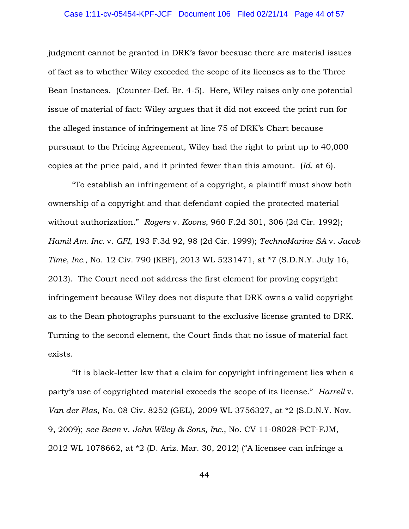### Case 1:11-cv-05454-KPF-JCF Document 106 Filed 02/21/14 Page 44 of 57

judgment cannot be granted in DRK's favor because there are material issues of fact as to whether Wiley exceeded the scope of its licenses as to the Three Bean Instances. (Counter-Def. Br. 4-5). Here, Wiley raises only one potential issue of material of fact: Wiley argues that it did not exceed the print run for the alleged instance of infringement at line 75 of DRK's Chart because pursuant to the Pricing Agreement, Wiley had the right to print up to 40,000 copies at the price paid, and it printed fewer than this amount. (*Id*. at 6).

"To establish an infringement of a copyright, a plaintiff must show both ownership of a copyright and that defendant copied the protected material without authorization." *Rogers* v. *Koons*, 960 F.2d 301, 306 (2d Cir. 1992); *Hamil Am. Inc.* v. *GFI*, 193 F.3d 92, 98 (2d Cir. 1999); *TechnoMarine SA* v. *Jacob Time, Inc.*, No. 12 Civ. 790 (KBF), 2013 WL 5231471, at \*7 (S.D.N.Y. July 16, 2013). The Court need not address the first element for proving copyright infringement because Wiley does not dispute that DRK owns a valid copyright as to the Bean photographs pursuant to the exclusive license granted to DRK. Turning to the second element, the Court finds that no issue of material fact exists.

"It is black-letter law that a claim for copyright infringement lies when a party's use of copyrighted material exceeds the scope of its license." *Harrell* v. *Van der Plas*, No. 08 Civ. 8252 (GEL), 2009 WL 3756327, at \*2 (S.D.N.Y. Nov. 9, 2009); *see Bean* v. *John Wiley & Sons, Inc.*, No. CV 11-08028-PCT-FJM, 2012 WL 1078662, at \*2 (D. Ariz. Mar. 30, 2012) ("A licensee can infringe a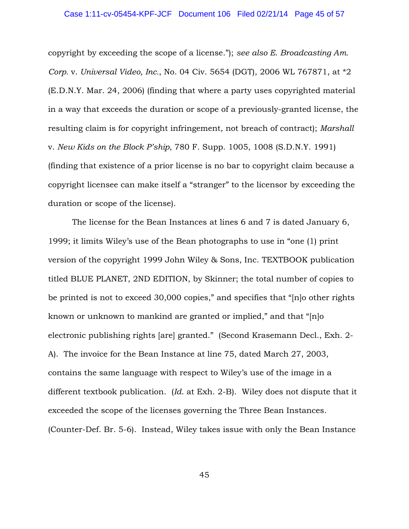### Case 1:11-cv-05454-KPF-JCF Document 106 Filed 02/21/14 Page 45 of 57

copyright by exceeding the scope of a license."); *see also E. Broadcasting Am. Corp.* v. *Universal Video, Inc.*, No. 04 Civ. 5654 (DGT), 2006 WL 767871, at \*2 (E.D.N.Y. Mar. 24, 2006) (finding that where a party uses copyrighted material in a way that exceeds the duration or scope of a previously-granted license, the resulting claim is for copyright infringement, not breach of contract); *Marshall*  v. *New Kids on the Block P'ship*, 780 F. Supp. 1005, 1008 (S.D.N.Y. 1991) (finding that existence of a prior license is no bar to copyright claim because a copyright licensee can make itself a "stranger" to the licensor by exceeding the duration or scope of the license).

The license for the Bean Instances at lines 6 and 7 is dated January 6, 1999; it limits Wiley's use of the Bean photographs to use in "one (1) print version of the copyright 1999 John Wiley & Sons, Inc. TEXTBOOK publication titled BLUE PLANET, 2ND EDITION, by Skinner; the total number of copies to be printed is not to exceed 30,000 copies," and specifies that "[n]o other rights known or unknown to mankind are granted or implied," and that "[n]o electronic publishing rights [are] granted." (Second Krasemann Decl., Exh. 2- A). The invoice for the Bean Instance at line 75, dated March 27, 2003, contains the same language with respect to Wiley's use of the image in a different textbook publication. (*Id*. at Exh. 2-B). Wiley does not dispute that it exceeded the scope of the licenses governing the Three Bean Instances. (Counter-Def. Br. 5-6). Instead, Wiley takes issue with only the Bean Instance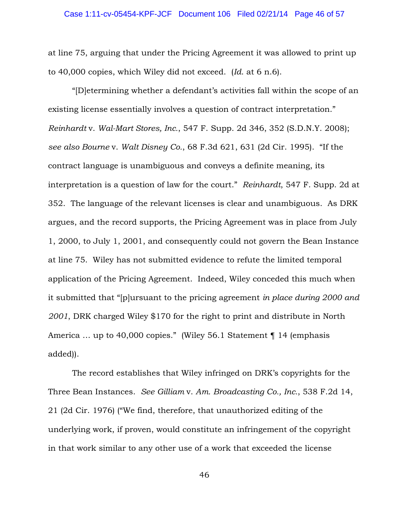at line 75, arguing that under the Pricing Agreement it was allowed to print up to 40,000 copies, which Wiley did not exceed. (*Id*. at 6 n.6).

"[D]etermining whether a defendant's activities fall within the scope of an existing license essentially involves a question of contract interpretation." *Reinhardt* v. *Wal-Mart Stores, Inc.*, 547 F. Supp. 2d 346, 352 (S.D.N.Y. 2008); *see also Bourne* v. *Walt Disney Co.*, 68 F.3d 621, 631 (2d Cir. 1995). "If the contract language is unambiguous and conveys a definite meaning, its interpretation is a question of law for the court." *Reinhardt*, 547 F. Supp. 2d at 352. The language of the relevant licenses is clear and unambiguous. As DRK argues, and the record supports, the Pricing Agreement was in place from July 1, 2000, to July 1, 2001, and consequently could not govern the Bean Instance at line 75. Wiley has not submitted evidence to refute the limited temporal application of the Pricing Agreement. Indeed, Wiley conceded this much when it submitted that "[p]ursuant to the pricing agreement *in place during 2000 and 2001*, DRK charged Wiley \$170 for the right to print and distribute in North America ... up to 40,000 copies." (Wiley 56.1 Statement ¶ 14 (emphasis added)).

The record establishes that Wiley infringed on DRK's copyrights for the Three Bean Instances. *See Gilliam* v. *Am. Broadcasting Co., Inc.*, 538 F.2d 14, 21 (2d Cir. 1976) ("We find, therefore, that unauthorized editing of the underlying work, if proven, would constitute an infringement of the copyright in that work similar to any other use of a work that exceeded the license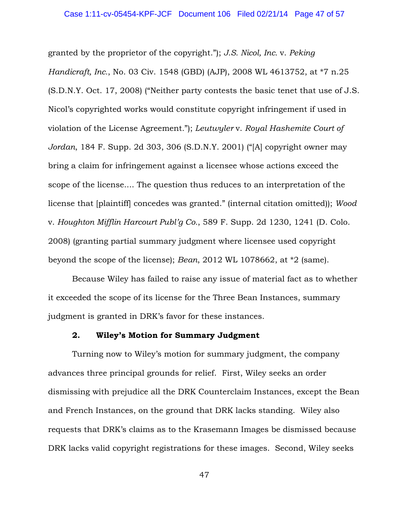granted by the proprietor of the copyright."); *J.S. Nicol, Inc.* v. *Peking Handicraft, Inc.*, No. 03 Civ. 1548 (GBD) (AJP), 2008 WL 4613752, at \*7 n.25 (S.D.N.Y. Oct. 17, 2008) ("Neither party contests the basic tenet that use of J.S. Nicol's copyrighted works would constitute copyright infringement if used in violation of the License Agreement*.*"); *Leutwyler* v. *Royal Hashemite Court of Jordan*, 184 F. Supp. 2d 303, 306 (S.D.N.Y. 2001) ("[A] copyright owner may bring a claim for infringement against a licensee whose actions exceed the scope of the license.... The question thus reduces to an interpretation of the license that [plaintiff] concedes was granted." (internal citation omitted)); *Wood*  v. *Houghton Mifflin Harcourt Publ'g Co.*, 589 F. Supp. 2d 1230, 1241 (D. Colo. 2008) (granting partial summary judgment where licensee used copyright beyond the scope of the license); *Bean*, 2012 WL 1078662, at \*2 (same).

Because Wiley has failed to raise any issue of material fact as to whether it exceeded the scope of its license for the Three Bean Instances, summary judgment is granted in DRK's favor for these instances.

# **2. Wiley's Motion for Summary Judgment**

Turning now to Wiley's motion for summary judgment, the company advances three principal grounds for relief. First, Wiley seeks an order dismissing with prejudice all the DRK Counterclaim Instances, except the Bean and French Instances, on the ground that DRK lacks standing. Wiley also requests that DRK's claims as to the Krasemann Images be dismissed because DRK lacks valid copyright registrations for these images. Second, Wiley seeks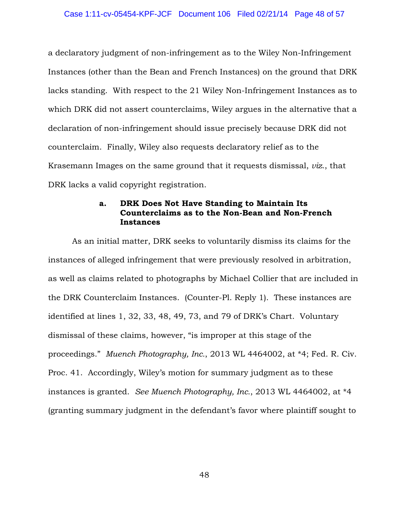a declaratory judgment of non-infringement as to the Wiley Non-Infringement Instances (other than the Bean and French Instances) on the ground that DRK lacks standing. With respect to the 21 Wiley Non-Infringement Instances as to which DRK did not assert counterclaims, Wiley argues in the alternative that a declaration of non-infringement should issue precisely because DRK did not counterclaim. Finally, Wiley also requests declaratory relief as to the Krasemann Images on the same ground that it requests dismissal, *viz*., that DRK lacks a valid copyright registration.

## **a. DRK Does Not Have Standing to Maintain Its Counterclaims as to the Non-Bean and Non-French Instances**

As an initial matter, DRK seeks to voluntarily dismiss its claims for the instances of alleged infringement that were previously resolved in arbitration, as well as claims related to photographs by Michael Collier that are included in the DRK Counterclaim Instances. (Counter-Pl. Reply 1). These instances are identified at lines 1, 32, 33, 48, 49, 73, and 79 of DRK's Chart. Voluntary dismissal of these claims, however, "is improper at this stage of the proceedings." *Muench Photography, Inc.*, 2013 WL 4464002, at \*4; Fed. R. Civ. Proc. 41. Accordingly, Wiley's motion for summary judgment as to these instances is granted. *See Muench Photography, Inc.*, 2013 WL 4464002, at \*4 (granting summary judgment in the defendant's favor where plaintiff sought to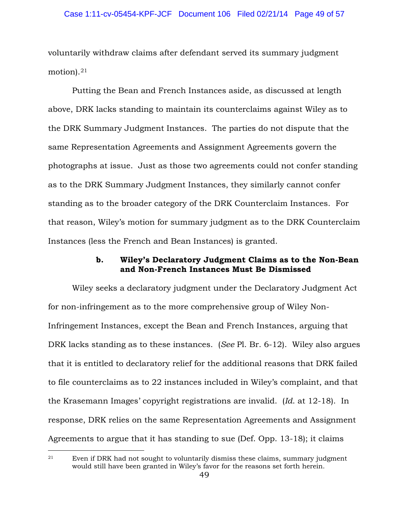voluntarily withdraw claims after defendant served its summary judgment motion).21

 Putting the Bean and French Instances aside, as discussed at length above, DRK lacks standing to maintain its counterclaims against Wiley as to the DRK Summary Judgment Instances. The parties do not dispute that the same Representation Agreements and Assignment Agreements govern the photographs at issue. Just as those two agreements could not confer standing as to the DRK Summary Judgment Instances, they similarly cannot confer standing as to the broader category of the DRK Counterclaim Instances. For that reason, Wiley's motion for summary judgment as to the DRK Counterclaim Instances (less the French and Bean Instances) is granted.

## **b. Wiley's Declaratory Judgment Claims as to the Non-Bean and Non-French Instances Must Be Dismissed**

 Wiley seeks a declaratory judgment under the Declaratory Judgment Act for non-infringement as to the more comprehensive group of Wiley Non-Infringement Instances, except the Bean and French Instances, arguing that DRK lacks standing as to these instances. (*See* Pl. Br. 6-12). Wiley also argues that it is entitled to declaratory relief for the additional reasons that DRK failed to file counterclaims as to 22 instances included in Wiley's complaint, and that the Krasemann Images' copyright registrations are invalid. (*Id*. at 12-18). In response, DRK relies on the same Representation Agreements and Assignment Agreements to argue that it has standing to sue (Def. Opp. 13-18); it claims

 $\overline{a}$ 

<sup>21</sup> Even if DRK had not sought to voluntarily dismiss these claims, summary judgment would still have been granted in Wiley's favor for the reasons set forth herein.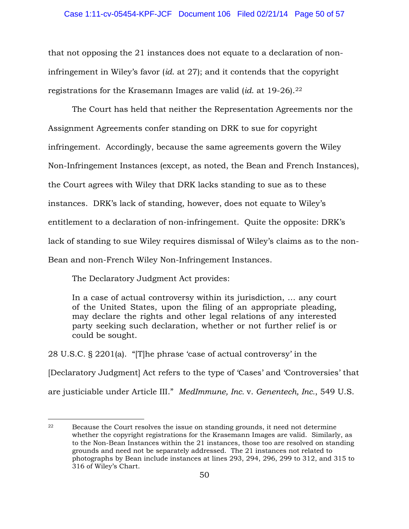that not opposing the 21 instances does not equate to a declaration of noninfringement in Wiley's favor (*id*. at 27); and it contends that the copyright registrations for the Krasemann Images are valid (*id*. at 19-26).22

 The Court has held that neither the Representation Agreements nor the Assignment Agreements confer standing on DRK to sue for copyright infringement. Accordingly, because the same agreements govern the Wiley Non-Infringement Instances (except, as noted, the Bean and French Instances), the Court agrees with Wiley that DRK lacks standing to sue as to these instances. DRK's lack of standing, however, does not equate to Wiley's entitlement to a declaration of non-infringement. Quite the opposite: DRK's lack of standing to sue Wiley requires dismissal of Wiley's claims as to the non-Bean and non-French Wiley Non-Infringement Instances.

The Declaratory Judgment Act provides:

 $\overline{a}$ 

In a case of actual controversy within its jurisdiction, … any court of the United States, upon the filing of an appropriate pleading, may declare the rights and other legal relations of any interested party seeking such declaration, whether or not further relief is or could be sought.

28 U.S.C. § 2201(a). "[T]he phrase 'case of actual controversy' in the [Declaratory Judgment] Act refers to the type of 'Cases' and 'Controversies' that are justiciable under Article III." *MedImmune, Inc.* v. *Genentech, Inc.*, 549 U.S.

<sup>22</sup> Because the Court resolves the issue on standing grounds, it need not determine whether the copyright registrations for the Krasemann Images are valid. Similarly, as to the Non-Bean Instances within the 21 instances, those too are resolved on standing grounds and need not be separately addressed. The 21 instances not related to photographs by Bean include instances at lines 293, 294, 296, 299 to 312, and 315 to 316 of Wiley's Chart.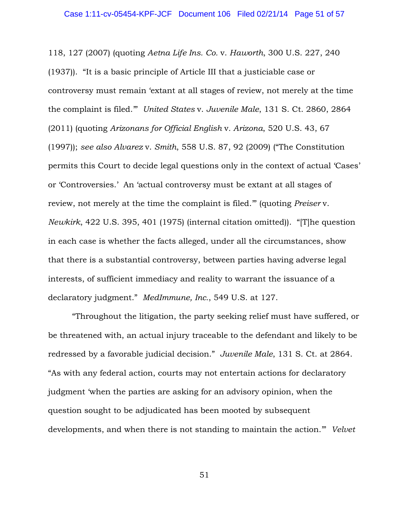118, 127 (2007) (quoting *Aetna Life Ins. Co.* v. *Haworth*, 300 U.S. 227, 240 (1937)). "It is a basic principle of Article III that a justiciable case or controversy must remain 'extant at all stages of review, not merely at the time the complaint is filed.'" *United States* v. *Juvenile Male*, 131 S. Ct. 2860, 2864 (2011) (quoting *Arizonans for Official English* v*. Arizona*, 520 U.S. 43, 67 (1997)); *see also Alvarez* v. *Smith*, 558 U.S. 87, 92 (2009) ("The Constitution permits this Court to decide legal questions only in the context of actual 'Cases' or 'Controversies.' An 'actual controversy must be extant at all stages of review, not merely at the time the complaint is filed.'" (quoting *Preiser* v. *Newkirk*, 422 U.S. 395, 401 (1975) (internal citation omitted)). "[T]he question in each case is whether the facts alleged, under all the circumstances, show that there is a substantial controversy, between parties having adverse legal interests, of sufficient immediacy and reality to warrant the issuance of a declaratory judgment." *MedImmune, Inc.*, 549 U.S. at 127.

"Throughout the litigation, the party seeking relief must have suffered, or be threatened with, an actual injury traceable to the defendant and likely to be redressed by a favorable judicial decision." *Juvenile Male*, 131 S. Ct. at 2864. "As with any federal action, courts may not entertain actions for declaratory judgment 'when the parties are asking for an advisory opinion, when the question sought to be adjudicated has been mooted by subsequent developments, and when there is not standing to maintain the action.'" *Velvet*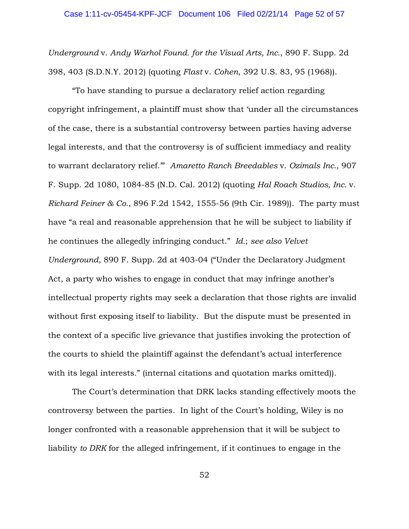*Underground* v. *Andy Warhol Found. for the Visual Arts, Inc.*, 890 F. Supp. 2d 398, 403 (S.D.N.Y. 2012) (quoting *Flast* v. *Cohen*, 392 U.S. 83, 95 (1968)).

"To have standing to pursue a declaratory relief action regarding copyright infringement, a plaintiff must show that 'under all the circumstances of the case, there is a substantial controversy between parties having adverse legal interests, and that the controversy is of sufficient immediacy and reality to warrant declaratory relief.'" *Amaretto Ranch Breedables* v. *Ozimals Inc.*, 907 F. Supp. 2d 1080, 1084-85 (N.D. Cal. 2012) (quoting *Hal Roach Studios, Inc.* v. *Richard Feiner & Co.*, 896 F.2d 1542, 1555-56 (9th Cir. 1989)). The party must have "a real and reasonable apprehension that he will be subject to liability if he continues the allegedly infringing conduct." *Id.*; *see also Velvet Underground*, 890 F. Supp. 2d at 403-04 ("Under the Declaratory Judgment Act, a party who wishes to engage in conduct that may infringe another's intellectual property rights may seek a declaration that those rights are invalid without first exposing itself to liability. But the dispute must be presented in the context of a specific live grievance that justifies invoking the protection of the courts to shield the plaintiff against the defendant's actual interference with its legal interests." (internal citations and quotation marks omitted)).

The Court's determination that DRK lacks standing effectively moots the controversy between the parties. In light of the Court's holding, Wiley is no longer confronted with a reasonable apprehension that it will be subject to liability *to DRK* for the alleged infringement, if it continues to engage in the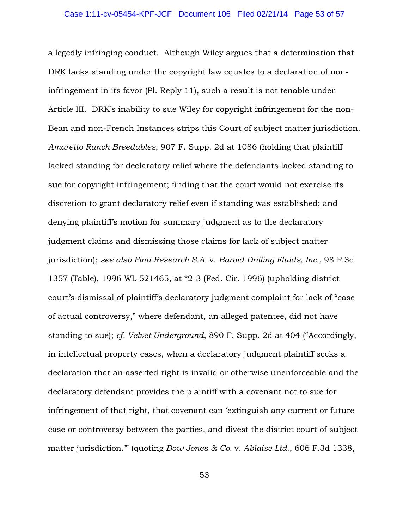allegedly infringing conduct. Although Wiley argues that a determination that DRK lacks standing under the copyright law equates to a declaration of noninfringement in its favor (Pl. Reply 11), such a result is not tenable under Article III. DRK's inability to sue Wiley for copyright infringement for the non-Bean and non-French Instances strips this Court of subject matter jurisdiction. *Amaretto Ranch Breedables*, 907 F. Supp. 2d at 1086 (holding that plaintiff lacked standing for declaratory relief where the defendants lacked standing to sue for copyright infringement; finding that the court would not exercise its discretion to grant declaratory relief even if standing was established; and denying plaintiff's motion for summary judgment as to the declaratory judgment claims and dismissing those claims for lack of subject matter jurisdiction); *see also Fina Research S.A.* v. *Baroid Drilling Fluids, Inc.*, 98 F.3d 1357 (Table), 1996 WL 521465, at \*2-3 (Fed. Cir. 1996) (upholding district court's dismissal of plaintiff's declaratory judgment complaint for lack of "case of actual controversy," where defendant, an alleged patentee, did not have standing to sue); *cf. Velvet Underground*, 890 F. Supp. 2d at 404 ("Accordingly, in intellectual property cases, when a declaratory judgment plaintiff seeks a declaration that an asserted right is invalid or otherwise unenforceable and the declaratory defendant provides the plaintiff with a covenant not to sue for infringement of that right, that covenant can 'extinguish any current or future case or controversy between the parties, and divest the district court of subject matter jurisdiction.'" (quoting *Dow Jones & Co.* v. *Ablaise Ltd*., 606 F.3d 1338,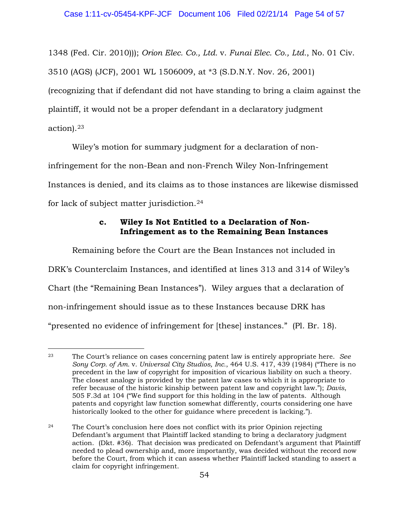1348 (Fed. Cir. 2010))); *Orion Elec. Co., Ltd.* v. *Funai Elec. Co., Ltd.*, No. 01 Civ. 3510 (AGS) (JCF), 2001 WL 1506009, at \*3 (S.D.N.Y. Nov. 26, 2001) (recognizing that if defendant did not have standing to bring a claim against the plaintiff, it would not be a proper defendant in a declaratory judgment action).23

Wiley's motion for summary judgment for a declaration of non-

infringement for the non-Bean and non-French Wiley Non-Infringement

Instances is denied, and its claims as to those instances are likewise dismissed

for lack of subject matter jurisdiction.24

# **c. Wiley Is Not Entitled to a Declaration of Non-Infringement as to the Remaining Bean Instances**

Remaining before the Court are the Bean Instances not included in DRK's Counterclaim Instances, and identified at lines 313 and 314 of Wiley's Chart (the "Remaining Bean Instances"). Wiley argues that a declaration of non-infringement should issue as to these Instances because DRK has "presented no evidence of infringement for [these] instances." (Pl. Br. 18).

<sup>23</sup> The Court's reliance on cases concerning patent law is entirely appropriate here. *See Sony Corp. of Am.* v. *Universal City Studios, Inc.*, 464 U.S. 417, 439 (1984) ("There is no precedent in the law of copyright for imposition of vicarious liability on such a theory. The closest analogy is provided by the patent law cases to which it is appropriate to refer because of the historic kinship between patent law and copyright law."); *Davis*, 505 F.3d at 104 ("We find support for this holding in the law of patents. Although patents and copyright law function somewhat differently, courts considering one have historically looked to the other for guidance where precedent is lacking.").  $\overline{a}$ 

<sup>24</sup> The Court's conclusion here does not conflict with its prior Opinion rejecting Defendant's argument that Plaintiff lacked standing to bring a declaratory judgment action. (Dkt. #36). That decision was predicated on Defendant's argument that Plaintiff needed to plead ownership and, more importantly, was decided without the record now before the Court, from which it can assess whether Plaintiff lacked standing to assert a claim for copyright infringement.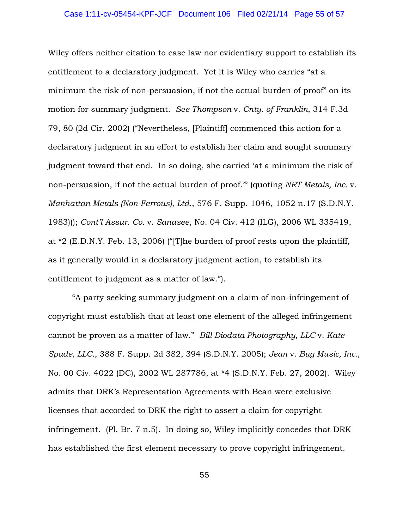### Case 1:11-cv-05454-KPF-JCF Document 106 Filed 02/21/14 Page 55 of 57

Wiley offers neither citation to case law nor evidentiary support to establish its entitlement to a declaratory judgment. Yet it is Wiley who carries "at a minimum the risk of non-persuasion, if not the actual burden of proof" on its motion for summary judgment. *See Thompson* v. *Cnty. of Franklin*, 314 F.3d 79, 80 (2d Cir. 2002) ("Nevertheless, [Plaintiff] commenced this action for a declaratory judgment in an effort to establish her claim and sought summary judgment toward that end. In so doing, she carried 'at a minimum the risk of non-persuasion, if not the actual burden of proof.'" (quoting *NRT Metals, Inc.* v. *Manhattan Metals (Non-Ferrous), Ltd*., 576 F. Supp. 1046, 1052 n.17 (S.D.N.Y. 1983))); *Cont'l Assur. Co.* v. *Sanasee*, No. 04 Civ. 412 (ILG), 2006 WL 335419, at \*2 (E.D.N.Y. Feb. 13, 2006) ("[T]he burden of proof rests upon the plaintiff, as it generally would in a declaratory judgment action, to establish its entitlement to judgment as a matter of law.").

"A party seeking summary judgment on a claim of non-infringement of copyright must establish that at least one element of the alleged infringement cannot be proven as a matter of law." *Bill Diodata Photography, LLC* v. *Kate Spade, LLC.*, 388 F. Supp. 2d 382, 394 (S.D.N.Y. 2005); *Jean* v. *Bug Music, Inc.*, No. 00 Civ. 4022 (DC), 2002 WL 287786, at \*4 (S.D.N.Y. Feb. 27, 2002). Wiley admits that DRK's Representation Agreements with Bean were exclusive licenses that accorded to DRK the right to assert a claim for copyright infringement. (Pl. Br. 7 n.5). In doing so, Wiley implicitly concedes that DRK has established the first element necessary to prove copyright infringement.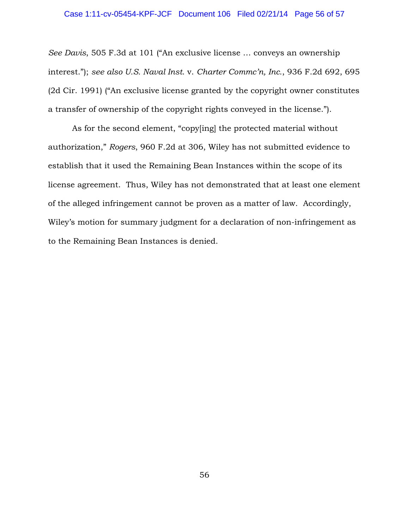### Case 1:11-cv-05454-KPF-JCF Document 106 Filed 02/21/14 Page 56 of 57

*See Davis*, 505 F.3d at 101 ("An exclusive license … conveys an ownership interest."); *see also U.S. Naval Inst*. v. *Charter Commc'n, Inc.*, 936 F.2d 692, 695 (2d Cir. 1991) ("An exclusive license granted by the copyright owner constitutes a transfer of ownership of the copyright rights conveyed in the license.").

As for the second element, "copy[ing] the protected material without authorization," *Rogers*, 960 F.2d at 306, Wiley has not submitted evidence to establish that it used the Remaining Bean Instances within the scope of its license agreement. Thus, Wiley has not demonstrated that at least one element of the alleged infringement cannot be proven as a matter of law. Accordingly, Wiley's motion for summary judgment for a declaration of non-infringement as to the Remaining Bean Instances is denied.